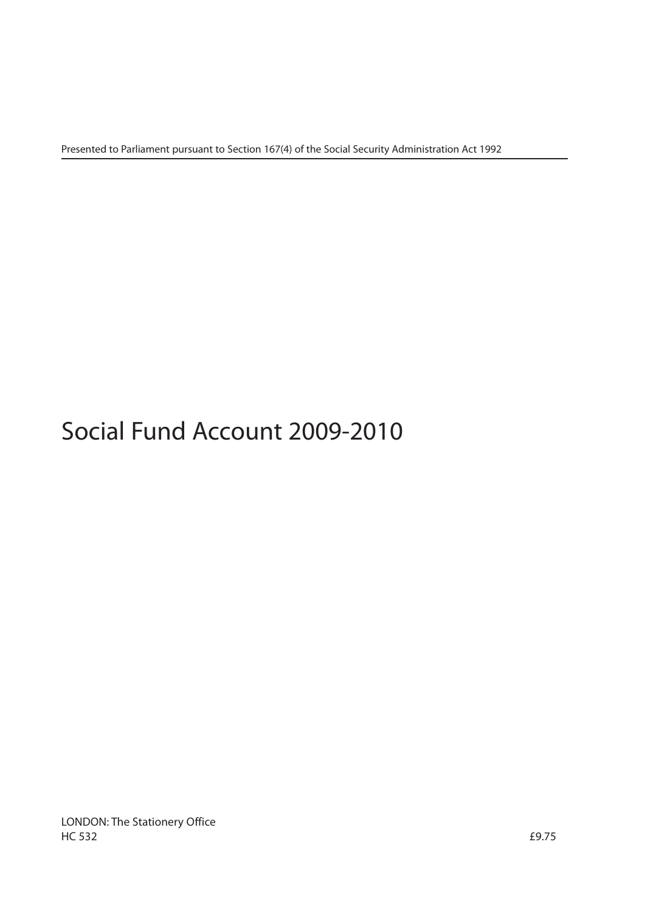Presented to Parliament pursuant to Section 167(4) of the Social Security Administration Act 1992

# Social Fund Account 2009-2010

LONDON: The Stationery Office  $H$ C 532  $f$ 9.75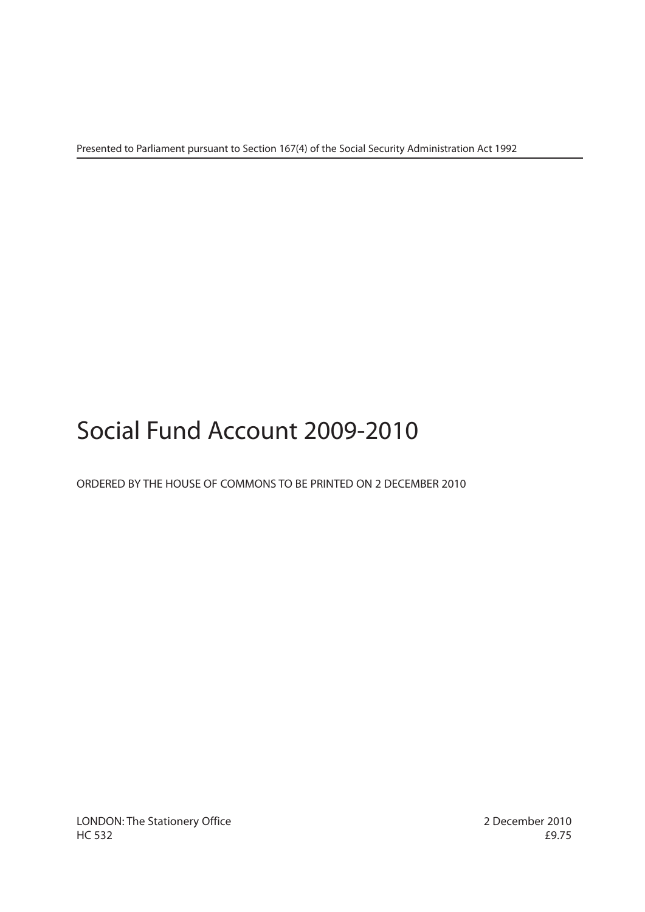Presented to Parliament pursuant to Section 167(4) of the Social Security Administration Act 1992

# Social Fund Account 2009-2010

# ORDERED BY THE HOUSE OF COMMONS TO BE PRINTED ON 2 DECEMBER 2010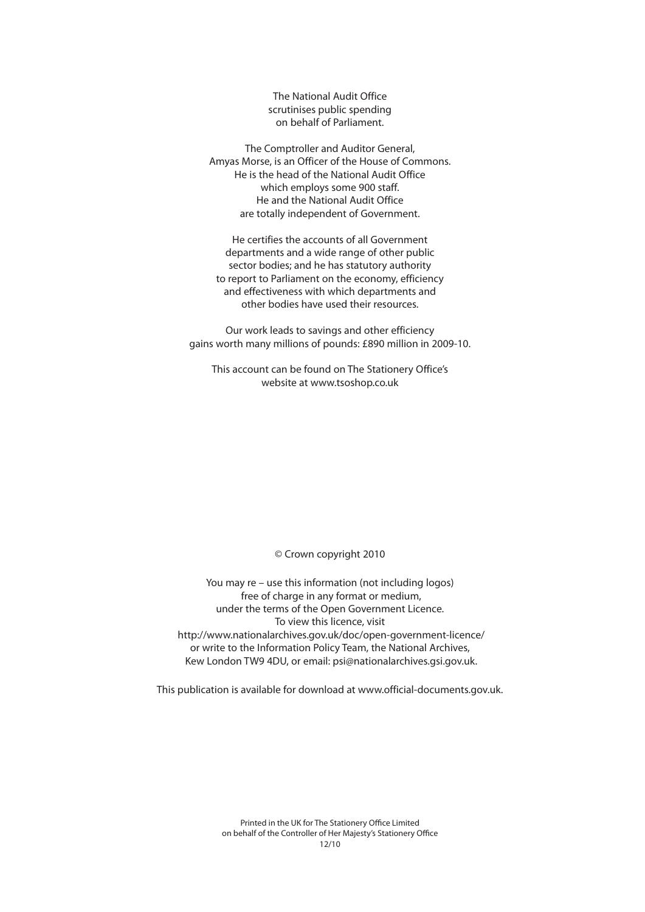The National Audit Office scrutinises public spending on behalf of Parliament.

The Comptroller and Auditor General, Amyas Morse, is an Officer of the House of Commons. He is the head of the National Audit Office which employs some 900 staff. He and the National Audit Office are totally independent of Government.

He certifies the accounts of all Government departments and a wide range of other public sector bodies; and he has statutory authority to report to Parliament on the economy, efficiency and effectiveness with which departments and other bodies have used their resources.

Our work leads to savings and other efficiency gains worth many millions of pounds: £890 million in 2009-10.

This account can be found on The Stationery Office's website at www.tsoshop.co.uk

© Crown copyright 2010

You may re – use this information (not including logos) free of charge in any format or medium, under the terms of the Open Government Licence. To view this licence, visit http://www.nationalarchives.gov.uk/doc/open-government-licence/ or write to the Information Policy Team, the National Archives, Kew London TW9 4DU, or email: psi@nationalarchives.gsi.gov.uk.

This publication is available for download at www.official-documents.gov.uk.

Printed in the UK for The Stationery Office Limited on behalf of the Controller of Her Majesty's Stationery Office  $12/10$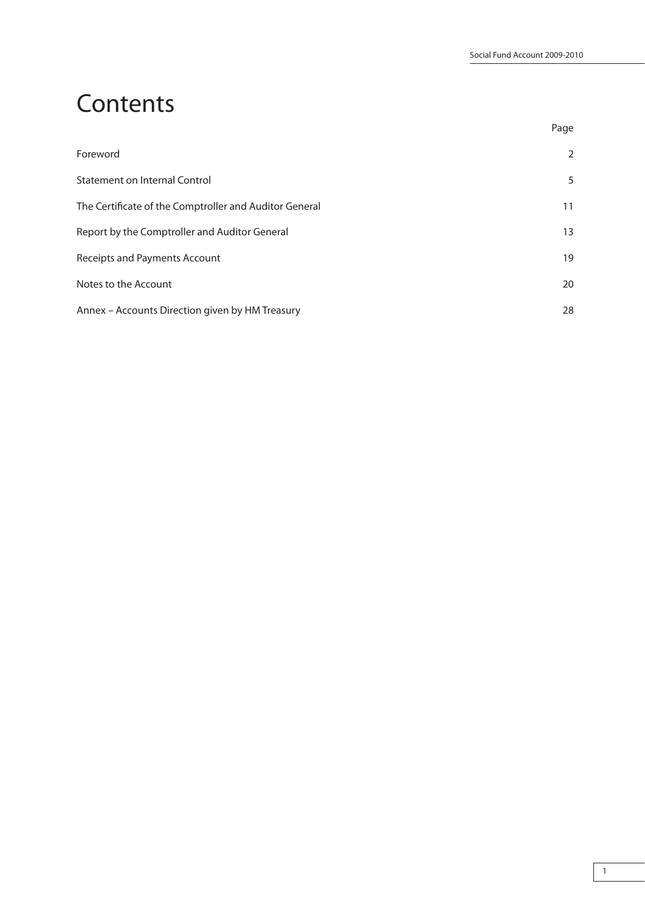# **Contents**

| Foreword                                               | 2  |
|--------------------------------------------------------|----|
| Statement on Internal Control                          | 5  |
| The Certificate of the Comptroller and Auditor General | 11 |
| Report by the Comptroller and Auditor General          | 13 |
| Receipts and Payments Account                          | 19 |
| Notes to the Account                                   | 20 |
| Annex - Accounts Direction given by HM Treasury        | 28 |

na dia 1992 nope 2012 nope 2012 nope 2012 nope 2012 nope 2012 nope 2012 nope 2012 nope 2012 nope 201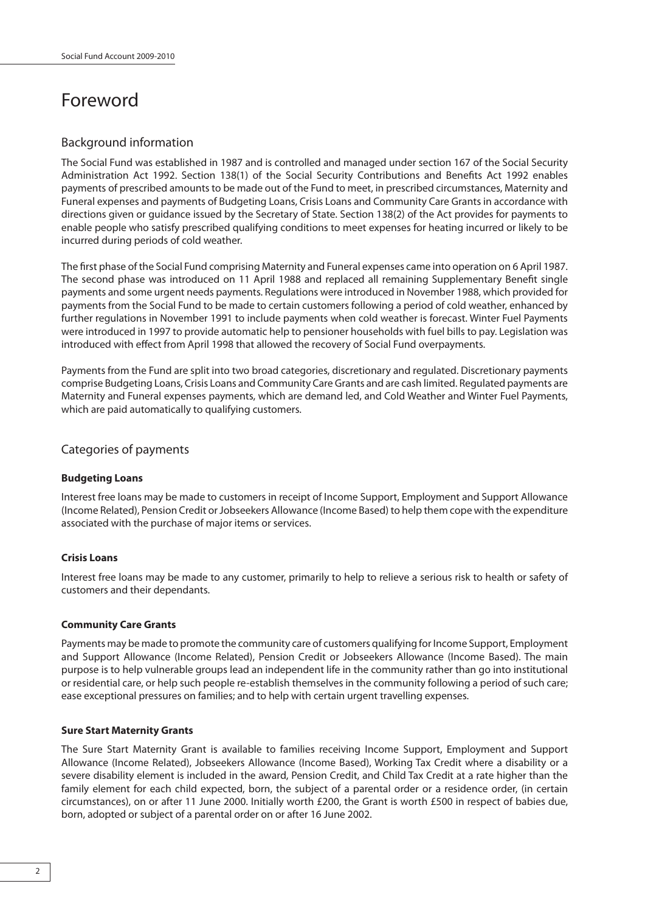# Foreword

# Background information

The Social Fund was established in 1987 and is controlled and managed under section 167 of the Social Security Administration Act 1992. Section 138(1) of the Social Security Contributions and Benefits Act 1992 enables payments of prescribed amounts to be made out of the Fund to meet, in prescribed circumstances, Maternity and Funeral expenses and payments of Budgeting Loans, Crisis Loans and Community Care Grants in accordance with directions given or guidance issued by the Secretary of State. Section 138(2) of the Act provides for payments to enable people who satisfy prescribed qualifying conditions to meet expenses for heating incurred or likely to be incurred during periods of cold weather.

The first phase of the Social Fund comprising Maternity and Funeral expenses came into operation on 6 April 1987. The second phase was introduced on 11 April 1988 and replaced all remaining Supplementary Benefit single payments and some urgent needs payments. Regulations were introduced in November 1988, which provided for payments from the Social Fund to be made to certain customers following a period of cold weather, enhanced by further regulations in November 1991 to include payments when cold weather is forecast. Winter Fuel Payments were introduced in 1997 to provide automatic help to pensioner households with fuel bills to pay. Legislation was introduced with effect from April 1998 that allowed the recovery of Social Fund overpayments.

Payments from the Fund are split into two broad categories, discretionary and regulated. Discretionary payments comprise Budgeting Loans, Crisis Loans and Community Care Grants and are cash limited. Regulated payments are Maternity and Funeral expenses payments, which are demand led, and Cold Weather and Winter Fuel Payments, which are paid automatically to qualifying customers.

# Categories of payments

#### **Budgeting Loans**

Interest free loans may be made to customers in receipt of Income Support, Employment and Support Allowance (Income Related), Pension Credit or Jobseekers Allowance (Income Based) to help them cope with the expenditure associated with the purchase of major items or services.

#### **Crisis Loans**

Interest free loans may be made to any customer, primarily to help to relieve a serious risk to health or safety of customers and their dependants.

#### **Community Care Grants**

Payments may be made to promote the community care of customers qualifying for Income Support, Employment and Support Allowance (Income Related), Pension Credit or Jobseekers Allowance (Income Based). The main purpose is to help vulnerable groups lead an independent life in the community rather than go into institutional or residential care, or help such people re-establish themselves in the community following a period of such care; ease exceptional pressures on families; and to help with certain urgent travelling expenses.

#### **Sure Start Maternity Grants**

The Sure Start Maternity Grant is available to families receiving Income Support, Employment and Support Allowance (Income Related), Jobseekers Allowance (Income Based), Working Tax Credit where a disability or a severe disability element is included in the award, Pension Credit, and Child Tax Credit at a rate higher than the family element for each child expected, born, the subject of a parental order or a residence order, (in certain circumstances), on or after 11 June 2000. Initially worth £200, the Grant is worth £500 in respect of babies due, born, adopted or subject of a parental order on or after 16 June 2002.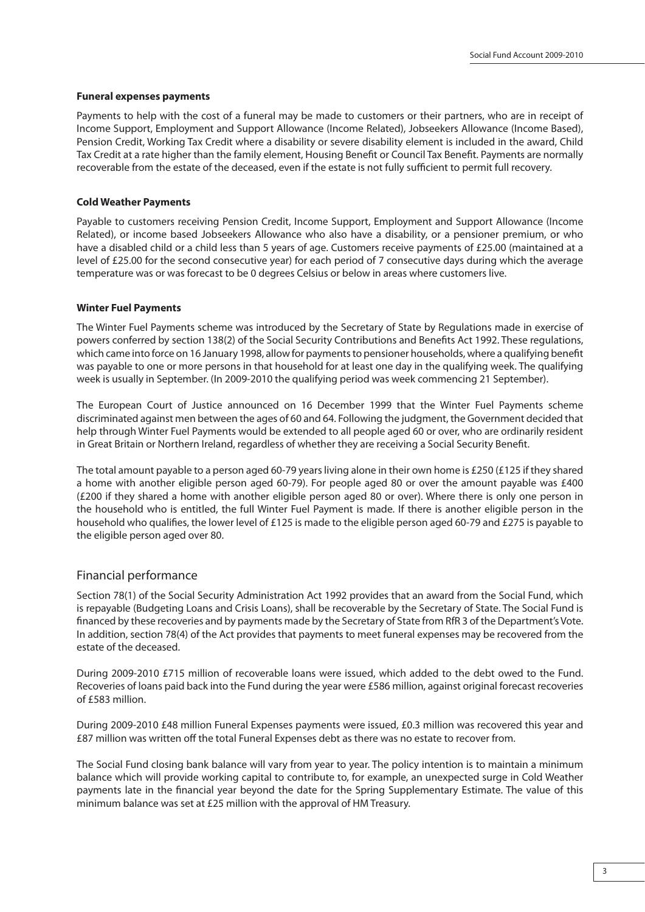#### **Funeral expenses payments**

Payments to help with the cost of a funeral may be made to customers or their partners, who are in receipt of Income Support, Employment and Support Allowance (Income Related), Jobseekers Allowance (Income Based), Pension Credit, Working Tax Credit where a disability or severe disability element is included in the award, Child Tax Credit at a rate higher than the family element, Housing Benefit or Council Tax Benefit. Payments are normally recoverable from the estate of the deceased, even if the estate is not fully sufficient to permit full recovery.

#### **Cold Weather Payments**

Payable to customers receiving Pension Credit, Income Support, Employment and Support Allowance (Income Related), or income based Jobseekers Allowance who also have a disability, or a pensioner premium, or who have a disabled child or a child less than 5 years of age. Customers receive payments of £25.00 (maintained at a level of £25.00 for the second consecutive year) for each period of 7 consecutive days during which the average temperature was or was forecast to be 0 degrees Celsius or below in areas where customers live.

#### **Winter Fuel Payments**

The Winter Fuel Payments scheme was introduced by the Secretary of State by Regulations made in exercise of powers conferred by section 138(2) of the Social Security Contributions and Benefits Act 1992. These regulations, which came into force on 16 January 1998, allow for payments to pensioner households, where a qualifying benefit was payable to one or more persons in that household for at least one day in the qualifying week. The qualifying week is usually in September. (In 2009-2010 the qualifying period was week commencing 21 September).

The European Court of Justice announced on 16 December 1999 that the Winter Fuel Payments scheme discriminated against men between the ages of 60 and 64. Following the judgment, the Government decided that help through Winter Fuel Payments would be extended to all people aged 60 or over, who are ordinarily resident in Great Britain or Northern Ireland, regardless of whether they are receiving a Social Security Benefit.

The total amount payable to a person aged 60-79 years living alone in their own home is £250 (£125 if they shared a home with another eligible person aged 60-79). For people aged 80 or over the amount payable was £400 (£200 if they shared a home with another eligible person aged 80 or over). Where there is only one person in the household who is entitled, the full Winter Fuel Payment is made. If there is another eligible person in the household who qualifies, the lower level of £125 is made to the eligible person aged 60-79 and £275 is payable to the eligible person aged over 80.

#### Financial performance

Section 78(1) of the Social Security Administration Act 1992 provides that an award from the Social Fund, which is repayable (Budgeting Loans and Crisis Loans), shall be recoverable by the Secretary of State. The Social Fund is financed by these recoveries and by payments made by the Secretary of State from RfR 3 of the Department's Vote. In addition, section 78(4) of the Act provides that payments to meet funeral expenses may be recovered from the estate of the deceased.

During 2009-2010 £715 million of recoverable loans were issued, which added to the debt owed to the Fund. Recoveries of loans paid back into the Fund during the year were £586 million, against original forecast recoveries of £583 million.

During 2009-2010 £48 million Funeral Expenses payments were issued, £0.3 million was recovered this year and £87 million was written off the total Funeral Expenses debt as there was no estate to recover from.

The Social Fund closing bank balance will vary from year to year. The policy intention is to maintain a minimum balance which will provide working capital to contribute to, for example, an unexpected surge in Cold Weather payments late in the financial year beyond the date for the Spring Supplementary Estimate. The value of this minimum balance was set at £25 million with the approval of HM Treasury.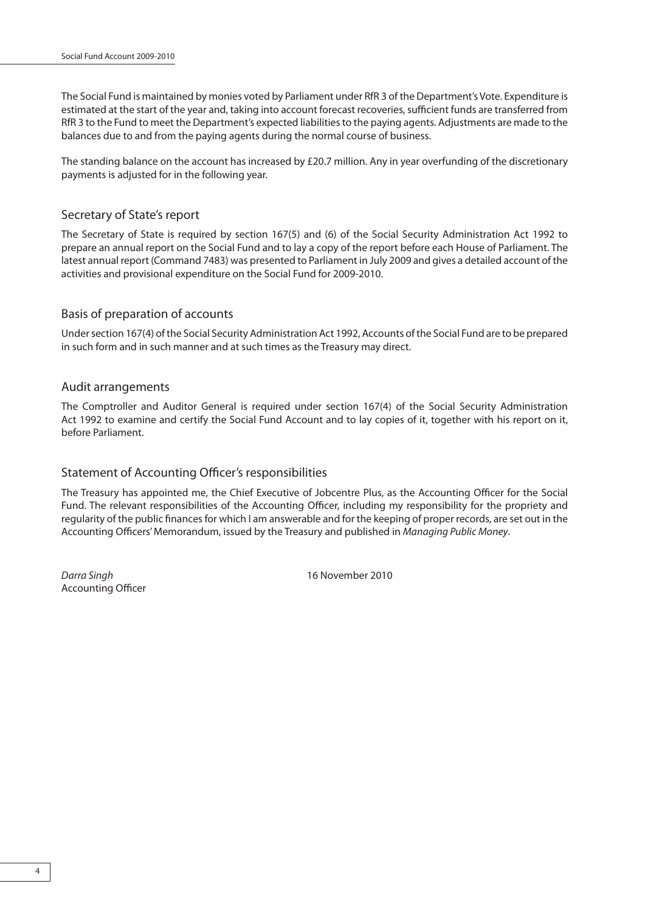The Social Fund is maintained by monies voted by Parliament under RfR 3 of the Department's Vote. Expenditure is estimated at the start of the year and, taking into account forecast recoveries, sufficient funds are transferred from RfR 3 to the Fund to meet the Department's expected liabilities to the paying agents. Adjustments are made to the balances due to and from the paying agents during the normal course of business.

The standing balance on the account has increased by £20.7 million. Any in year overfunding of the discretionary payments is adjusted for in the following year.

### Secretary of State's report

The Secretary of State is required by section 167(5) and (6) of the Social Security Administration Act 1992 to prepare an annual report on the Social Fund and to lay a copy of the report before each House of Parliament. The latest annual report (Command 7483) was presented to Parliament in July 2009 and gives a detailed account of the activities and provisional expenditure on the Social Fund for 2009-2010.

# Basis of preparation of accounts

Under section 167(4) of the Social Security Administration Act 1992, Accounts of the Social Fund are to be prepared in such form and in such manner and at such times as the Treasury may direct.

#### Audit arrangements

The Comptroller and Auditor General is required under section 167(4) of the Social Security Administration Act 1992 to examine and certify the Social Fund Account and to lay copies of it, together with his report on it, before Parliament.

# Statement of Accounting Officer's responsibilities

The Treasury has appointed me, the Chief Executive of Jobcentre Plus, as the Accounting Officer for the Social Fund. The relevant responsibilities of the Accounting Officer, including my responsibility for the propriety and regularity of the public finances for which I am answerable and for the keeping of proper records, are set out in the Accounting Officers' Memorandum, issued by the Treasury and published in Managing Public Money.

Accounting Officer

Darra Singh 16 November 2010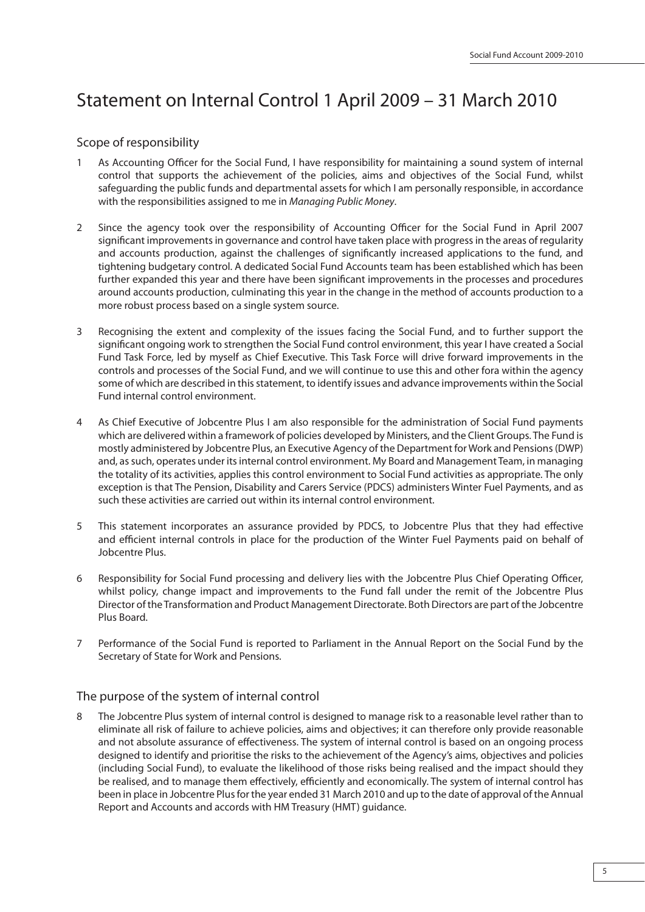# Statement on Internal Control 1 April 2009 – 31 March 2010

# Scope of responsibility

- As Accounting Officer for the Social Fund, I have responsibility for maintaining a sound system of internal control that supports the achievement of the policies, aims and objectives of the Social Fund, whilst safeguarding the public funds and departmental assets for which I am personally responsible, in accordance with the responsibilities assigned to me in Managing Public Money.
- 2 Since the agency took over the responsibility of Accounting Officer for the Social Fund in April 2007 significant improvements in governance and control have taken place with progress in the areas of regularity and accounts production, against the challenges of significantly increased applications to the fund, and tightening budgetary control. A dedicated Social Fund Accounts team has been established which has been further expanded this year and there have been significant improvements in the processes and procedures around accounts production, culminating this year in the change in the method of accounts production to a more robust process based on a single system source.
- 3 Recognising the extent and complexity of the issues facing the Social Fund, and to further support the significant ongoing work to strengthen the Social Fund control environment, this year I have created a Social Fund Task Force, led by myself as Chief Executive. This Task Force will drive forward improvements in the controls and processes of the Social Fund, and we will continue to use this and other fora within the agency some of which are described in this statement, to identify issues and advance improvements within the Social Fund internal control environment.
- 4 As Chief Executive of Jobcentre Plus I am also responsible for the administration of Social Fund payments which are delivered within a framework of policies developed by Ministers, and the Client Groups. The Fund is mostly administered by Jobcentre Plus, an Executive Agency of the Department for Work and Pensions (DWP) and, as such, operates under its internal control environment. My Board and Management Team, in managing the totality of its activities, applies this control environment to Social Fund activities as appropriate. The only exception is that The Pension, Disability and Carers Service (PDCS) administers Winter Fuel Payments, and as such these activities are carried out within its internal control environment.
- 5 This statement incorporates an assurance provided by PDCS, to Jobcentre Plus that they had effective and efficient internal controls in place for the production of the Winter Fuel Payments paid on behalf of Jobcentre Plus.
- 6 Responsibility for Social Fund processing and delivery lies with the Jobcentre Plus Chief Operating Officer, whilst policy, change impact and improvements to the Fund fall under the remit of the Jobcentre Plus Director of the Transformation and Product Management Directorate. Both Directors are part of the Jobcentre Plus Board.
- 7 Performance of the Social Fund is reported to Parliament in the Annual Report on the Social Fund by the Secretary of State for Work and Pensions.

# The purpose of the system of internal control

The Jobcentre Plus system of internal control is designed to manage risk to a reasonable level rather than to eliminate all risk of failure to achieve policies, aims and objectives; it can therefore only provide reasonable and not absolute assurance of effectiveness. The system of internal control is based on an ongoing process designed to identify and prioritise the risks to the achievement of the Agency's aims, objectives and policies (including Social Fund), to evaluate the likelihood of those risks being realised and the impact should they be realised, and to manage them effectively, efficiently and economically. The system of internal control has been in place in Jobcentre Plus for the year ended 31 March 2010 and up to the date of approval of the Annual Report and Accounts and accords with HM Treasury (HMT) guidance.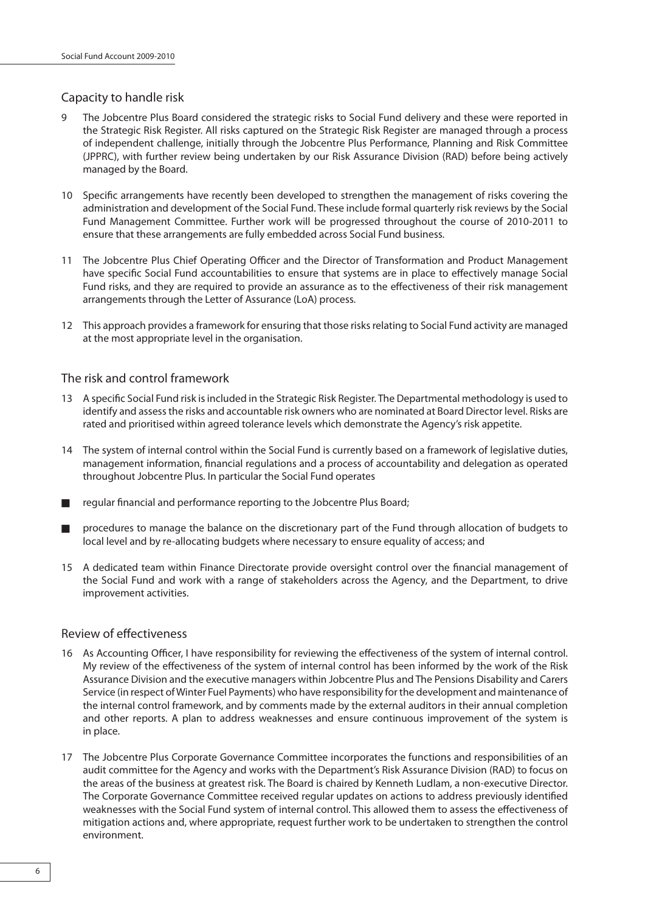# Capacity to handle risk

- 9 The Jobcentre Plus Board considered the strategic risks to Social Fund delivery and these were reported in the Strategic Risk Register. All risks captured on the Strategic Risk Register are managed through a process of independent challenge, initially through the Jobcentre Plus Performance, Planning and Risk Committee (JPPRC), with further review being undertaken by our Risk Assurance Division (RAD) before being actively managed by the Board.
- 10 Specific arrangements have recently been developed to strengthen the management of risks covering the administration and development of the Social Fund. These include formal quarterly risk reviews by the Social Fund Management Committee. Further work will be progressed throughout the course of 2010-2011 to ensure that these arrangements are fully embedded across Social Fund business.
- 11 The Jobcentre Plus Chief Operating Officer and the Director of Transformation and Product Management have specific Social Fund accountabilities to ensure that systems are in place to effectively manage Social Fund risks, and they are required to provide an assurance as to the effectiveness of their risk management arrangements through the Letter of Assurance (LoA) process.
- 12 This approach provides a framework for ensuring that those risks relating to Social Fund activity are managed at the most appropriate level in the organisation.

# The risk and control framework

- 13 A specific Social Fund risk is included in the Strategic Risk Register. The Departmental methodology is used to identify and assess the risks and accountable risk owners who are nominated at Board Director level. Risks are rated and prioritised within agreed tolerance levels which demonstrate the Agency's risk appetite.
- 14 The system of internal control within the Social Fund is currently based on a framework of legislative duties, management information, financial regulations and a process of accountability and delegation as operated throughout Jobcentre Plus. In particular the Social Fund operates
- regular financial and performance reporting to the Jobcentre Plus Board;
- procedures to manage the balance on the discretionary part of the Fund through allocation of budgets to local level and by re-allocating budgets where necessary to ensure equality of access; and
- 15 A dedicated team within Finance Directorate provide oversight control over the financial management of the Social Fund and work with a range of stakeholders across the Agency, and the Department, to drive improvement activities.

# Review of effectiveness

- 16 As Accounting Officer, I have responsibility for reviewing the effectiveness of the system of internal control. My review of the effectiveness of the system of internal control has been informed by the work of the Risk Assurance Division and the executive managers within Jobcentre Plus and The Pensions Disability and Carers Service (in respect of Winter Fuel Payments) who have responsibility for the development and maintenance of the internal control framework, and by comments made by the external auditors in their annual completion and other reports. A plan to address weaknesses and ensure continuous improvement of the system is in place.
- 17 The Jobcentre Plus Corporate Governance Committee incorporates the functions and responsibilities of an audit committee for the Agency and works with the Department's Risk Assurance Division (RAD) to focus on the areas of the business at greatest risk. The Board is chaired by Kenneth Ludlam, a non-executive Director. The Corporate Governance Committee received regular updates on actions to address previously identified weaknesses with the Social Fund system of internal control. This allowed them to assess the effectiveness of mitigation actions and, where appropriate, request further work to be undertaken to strengthen the control environment.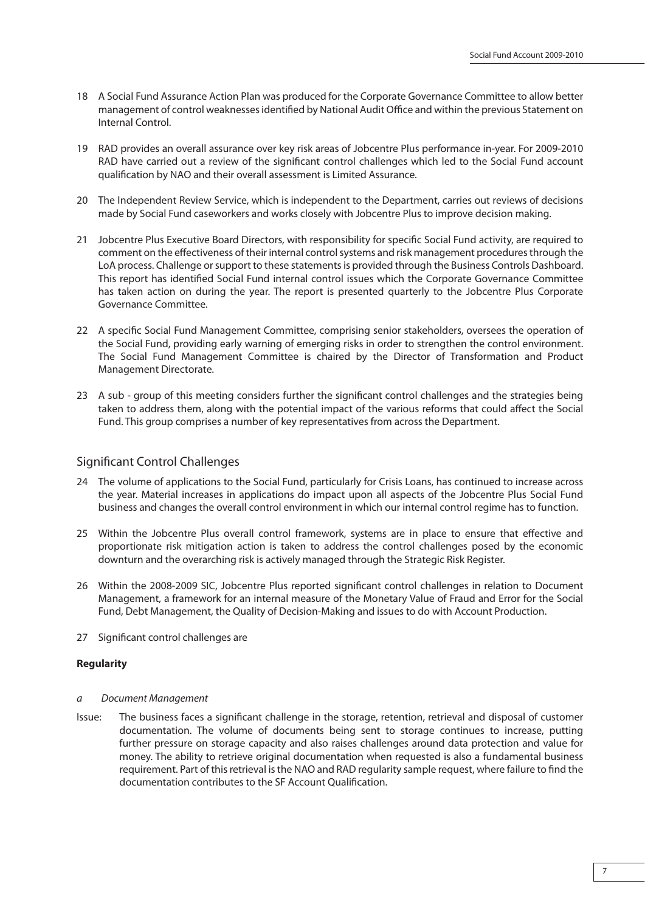- 18 A Social Fund Assurance Action Plan was produced for the Corporate Governance Committee to allow better management of control weaknesses identified by National Audit Office and within the previous Statement on Internal Control.
- 19 RAD provides an overall assurance over key risk areas of Jobcentre Plus performance in-year. For 2009-2010 RAD have carried out a review of the significant control challenges which led to the Social Fund account qualification by NAO and their overall assessment is Limited Assurance.
- 20 The Independent Review Service, which is independent to the Department, carries out reviews of decisions made by Social Fund caseworkers and works closely with Jobcentre Plus to improve decision making.
- 21 Jobcentre Plus Executive Board Directors, with responsibility for specific Social Fund activity, are required to comment on the effectiveness of their internal control systems and risk management procedures through the LoA process. Challenge or support to these statements is provided through the Business Controls Dashboard. This report has identified Social Fund internal control issues which the Corporate Governance Committee has taken action on during the year. The report is presented quarterly to the Jobcentre Plus Corporate Governance Committee.
- 22 A specific Social Fund Management Committee, comprising senior stakeholders, oversees the operation of the Social Fund, providing early warning of emerging risks in order to strengthen the control environment. The Social Fund Management Committee is chaired by the Director of Transformation and Product Management Directorate.
- 23 A sub group of this meeting considers further the significant control challenges and the strategies being taken to address them, along with the potential impact of the various reforms that could affect the Social Fund. This group comprises a number of key representatives from across the Department.

# Significant Control Challenges

- 24 The volume of applications to the Social Fund, particularly for Crisis Loans, has continued to increase across the year. Material increases in applications do impact upon all aspects of the Jobcentre Plus Social Fund business and changes the overall control environment in which our internal control regime has to function.
- 25 Within the Jobcentre Plus overall control framework, systems are in place to ensure that effective and proportionate risk mitigation action is taken to address the control challenges posed by the economic downturn and the overarching risk is actively managed through the Strategic Risk Register.
- 26 Within the 2008-2009 SIC, Jobcentre Plus reported significant control challenges in relation to Document Management, a framework for an internal measure of the Monetary Value of Fraud and Error for the Social Fund, Debt Management, the Quality of Decision-Making and issues to do with Account Production.
- 27 Significant control challenges are

#### **Regularity**

- a Document Management
- Issue: The business faces a significant challenge in the storage, retention, retrieval and disposal of customer documentation. The volume of documents being sent to storage continues to increase, putting further pressure on storage capacity and also raises challenges around data protection and value for money. The ability to retrieve original documentation when requested is also a fundamental business requirement. Part of this retrieval is the NAO and RAD regularity sample request, where failure to find the documentation contributes to the SF Account Qualification.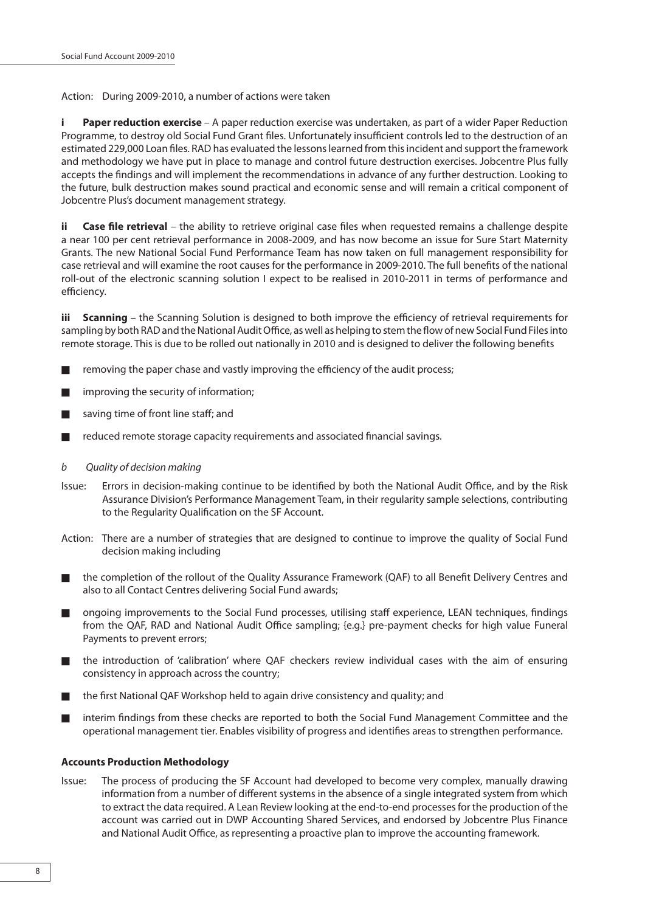Action: During 2009-2010, a number of actions were taken

**i Paper reduction exercise** – A paper reduction exercise was undertaken, as part of a wider Paper Reduction Programme, to destroy old Social Fund Grant files. Unfortunately insufficient controls led to the destruction of an estimated 229,000 Loan files. RAD has evaluated the lessons learned from this incident and support the framework and methodology we have put in place to manage and control future destruction exercises. Jobcentre Plus fully accepts the findings and will implement the recommendations in advance of any further destruction. Looking to the future, bulk destruction makes sound practical and economic sense and will remain a critical component of Jobcentre Plus's document management strategy.

**ii** Case file retrieval – the ability to retrieve original case files when requested remains a challenge despite a near 100 per cent retrieval performance in 2008-2009, and has now become an issue for Sure Start Maternity Grants. The new National Social Fund Performance Team has now taken on full management responsibility for case retrieval and will examine the root causes for the performance in 2009-2010. The full benefits of the national roll-out of the electronic scanning solution I expect to be realised in 2010-2011 in terms of performance and efficiency.

**iii Scanning** – the Scanning Solution is designed to both improve the efficiency of retrieval requirements for sampling by both RAD and the National Audit Office, as well as helping to stem the flow of new Social Fund Files into remote storage. This is due to be rolled out nationally in 2010 and is designed to deliver the following benefits

- $\blacksquare$  removing the paper chase and vastly improving the efficiency of the audit process;
- improving the security of information;
- saving time of front line staff: and
- $\blacksquare$  reduced remote storage capacity requirements and associated financial savings.
- b Quality of decision making
- Issue: Errors in decision-making continue to be identified by both the National Audit Office, and by the Risk Assurance Division's Performance Management Team, in their regularity sample selections, contributing to the Regularity Qualification on the SF Account.
- Action: There are a number of strategies that are designed to continue to improve the quality of Social Fund decision making including
- the completion of the rollout of the Quality Assurance Framework (QAF) to all Benefit Delivery Centres and also to all Contact Centres delivering Social Fund awards;
- ongoing improvements to the Social Fund processes, utilising staff experience, LEAN techniques, findings from the QAF, RAD and National Audit Office sampling; {e.g.} pre-payment checks for high value Funeral Payments to prevent errors;
- the introduction of 'calibration' where QAF checkers review individual cases with the aim of ensuring consistency in approach across the country;
- the first National OAF Workshop held to again drive consistency and quality; and
- interim findings from these checks are reported to both the Social Fund Management Committee and the operational management tier. Enables visibility of progress and identifies areas to strengthen performance.

#### **Accounts Production Methodology**

Issue: The process of producing the SF Account had developed to become very complex, manually drawing information from a number of different systems in the absence of a single integrated system from which to extract the data required. A Lean Review looking at the end-to-end processes for the production of the account was carried out in DWP Accounting Shared Services, and endorsed by Jobcentre Plus Finance and National Audit Office, as representing a proactive plan to improve the accounting framework.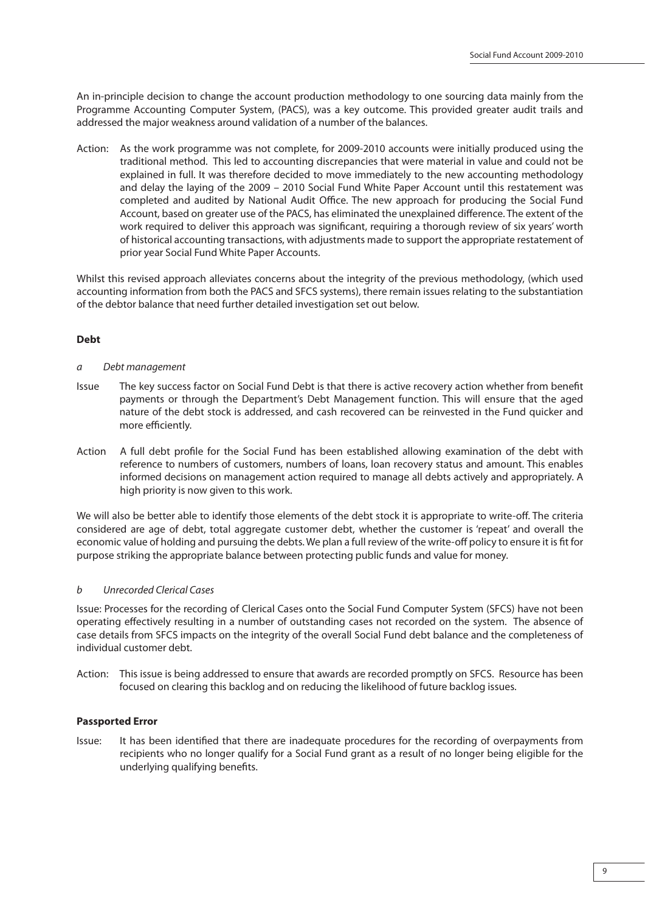An in-principle decision to change the account production methodology to one sourcing data mainly from the Programme Accounting Computer System, (PACS), was a key outcome. This provided greater audit trails and addressed the major weakness around validation of a number of the balances.

Action: As the work programme was not complete, for 2009-2010 accounts were initially produced using the traditional method. This led to accounting discrepancies that were material in value and could not be explained in full. It was therefore decided to move immediately to the new accounting methodology and delay the laying of the 2009 – 2010 Social Fund White Paper Account until this restatement was completed and audited by National Audit Office. The new approach for producing the Social Fund Account, based on greater use of the PACS, has eliminated the unexplained difference. The extent of the work required to deliver this approach was significant, requiring a thorough review of six years' worth of historical accounting transactions, with adjustments made to support the appropriate restatement of prior year Social Fund White Paper Accounts.

Whilst this revised approach alleviates concerns about the integrity of the previous methodology, (which used accounting information from both the PACS and SFCS systems), there remain issues relating to the substantiation of the debtor balance that need further detailed investigation set out below.

#### **Debt**

- a Debt management
- Issue The key success factor on Social Fund Debt is that there is active recovery action whether from benefit payments or through the Department's Debt Management function. This will ensure that the aged nature of the debt stock is addressed, and cash recovered can be reinvested in the Fund quicker and more efficiently.
- Action A full debt profile for the Social Fund has been established allowing examination of the debt with reference to numbers of customers, numbers of loans, loan recovery status and amount. This enables informed decisions on management action required to manage all debts actively and appropriately. A high priority is now given to this work.

We will also be better able to identify those elements of the debt stock it is appropriate to write-off. The criteria considered are age of debt, total aggregate customer debt, whether the customer is 'repeat' and overall the economic value of holding and pursuing the debts. We plan a full review of the write-off policy to ensure it is fit for purpose striking the appropriate balance between protecting public funds and value for money.

#### b Unrecorded Clerical Cases

Issue: Processes for the recording of Clerical Cases onto the Social Fund Computer System (SFCS) have not been operating effectively resulting in a number of outstanding cases not recorded on the system. The absence of case details from SFCS impacts on the integrity of the overall Social Fund debt balance and the completeness of individual customer debt.

Action: This issue is being addressed to ensure that awards are recorded promptly on SFCS. Resource has been focused on clearing this backlog and on reducing the likelihood of future backlog issues.

#### **Passported Error**

Issue: It has been identified that there are inadequate procedures for the recording of overpayments from recipients who no longer qualify for a Social Fund grant as a result of no longer being eligible for the underlying qualifying benefits.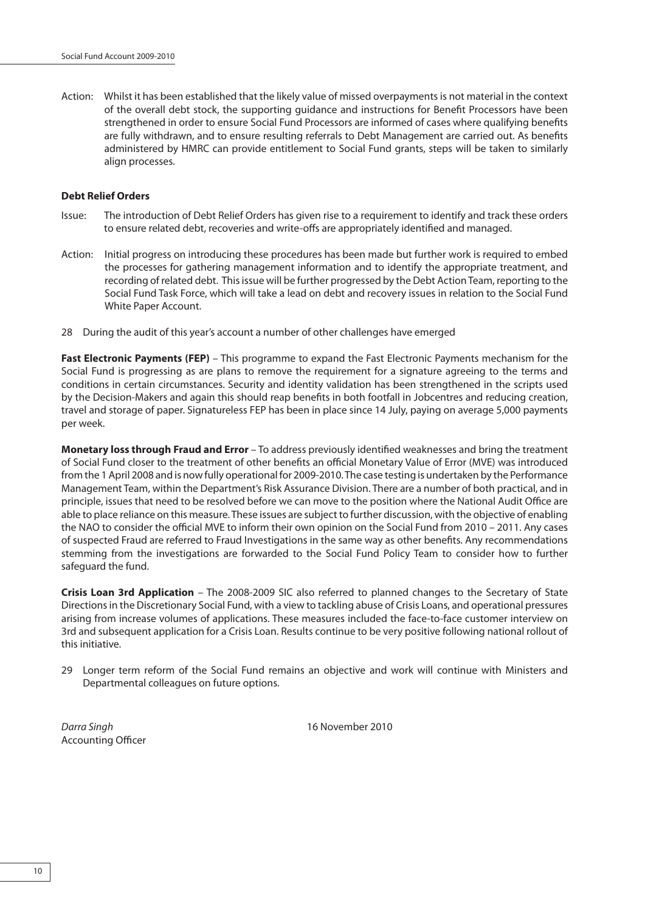Action: Whilst it has been established that the likely value of missed overpayments is not material in the context of the overall debt stock, the supporting guidance and instructions for Benefit Processors have been strengthened in order to ensure Social Fund Processors are informed of cases where qualifying benefits are fully withdrawn, and to ensure resulting referrals to Debt Management are carried out. As benefits administered by HMRC can provide entitlement to Social Fund grants, steps will be taken to similarly align processes.

#### **Debt Relief Orders**

- Issue: The introduction of Debt Relief Orders has given rise to a requirement to identify and track these orders to ensure related debt, recoveries and write-offs are appropriately identified and managed.
- Action: Initial progress on introducing these procedures has been made but further work is required to embed the processes for gathering management information and to identify the appropriate treatment, and recording of related debt. This issue will be further progressed by the Debt Action Team, reporting to the Social Fund Task Force, which will take a lead on debt and recovery issues in relation to the Social Fund White Paper Account.
- 28 During the audit of this year's account a number of other challenges have emerged

**Fast Electronic Payments (FEP)** – This programme to expand the Fast Electronic Payments mechanism for the Social Fund is progressing as are plans to remove the requirement for a signature agreeing to the terms and conditions in certain circumstances. Security and identity validation has been strengthened in the scripts used by the Decision-Makers and again this should reap benefits in both footfall in Jobcentres and reducing creation, travel and storage of paper. Signatureless FEP has been in place since 14 July, paying on average 5,000 payments per week.

**Monetary loss through Fraud and Error** – To address previously identified weaknesses and bring the treatment of Social Fund closer to the treatment of other benefits an official Monetary Value of Error (MVE) was introduced from the 1 April 2008 and is now fully operational for 2009-2010. The case testing is undertaken by the Performance Management Team, within the Department's Risk Assurance Division. There are a number of both practical, and in principle, issues that need to be resolved before we can move to the position where the National Audit Office are able to place reliance on this measure. These issues are subject to further discussion, with the objective of enabling the NAO to consider the official MVE to inform their own opinion on the Social Fund from 2010 – 2011. Any cases of suspected Fraud are referred to Fraud Investigations in the same way as other benefits. Any recommendations stemming from the investigations are forwarded to the Social Fund Policy Team to consider how to further safeguard the fund.

**Crisis Loan 3rd Application** – The 2008-2009 SIC also referred to planned changes to the Secretary of State Directions in the Discretionary Social Fund, with a view to tackling abuse of Crisis Loans, and operational pressures arising from increase volumes of applications. These measures included the face-to-face customer interview on 3rd and subsequent application for a Crisis Loan. Results continue to be very positive following national rollout of this initiative.

29 Longer term reform of the Social Fund remains an objective and work will continue with Ministers and Departmental colleagues on future options.

Darra Singh 16 November 2010 Accounting Officer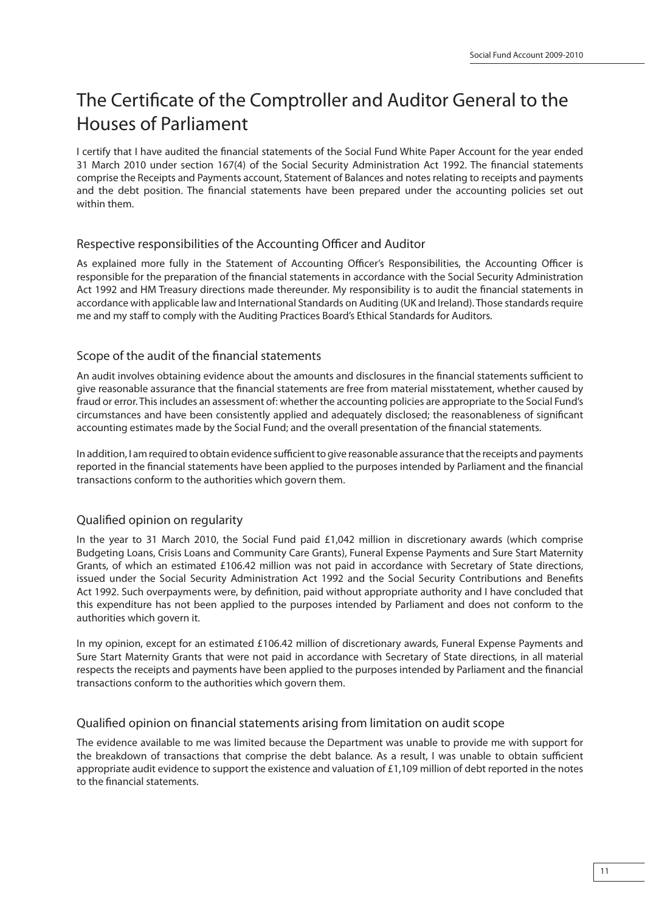# The Certificate of the Comptroller and Auditor General to the Houses of Parliament

I certify that I have audited the financial statements of the Social Fund White Paper Account for the year ended 31 March 2010 under section 167(4) of the Social Security Administration Act 1992. The financial statements comprise the Receipts and Payments account, Statement of Balances and notes relating to receipts and payments and the debt position. The financial statements have been prepared under the accounting policies set out within them.

# Respective responsibilities of the Accounting Officer and Auditor

As explained more fully in the Statement of Accounting Officer's Responsibilities, the Accounting Officer is responsible for the preparation of the financial statements in accordance with the Social Security Administration Act 1992 and HM Treasury directions made thereunder. My responsibility is to audit the financial statements in accordance with applicable law and International Standards on Auditing (UK and Ireland). Those standards require me and my staff to comply with the Auditing Practices Board's Ethical Standards for Auditors.

# Scope of the audit of the financial statements

An audit involves obtaining evidence about the amounts and disclosures in the financial statements sufficient to give reasonable assurance that the financial statements are free from material misstatement, whether caused by fraud or error. This includes an assessment of: whether the accounting policies are appropriate to the Social Fund's circumstances and have been consistently applied and adequately disclosed; the reasonableness of significant accounting estimates made by the Social Fund; and the overall presentation of the financial statements.

In addition, I am required to obtain evidence sufficient to give reasonable assurance that the receipts and payments reported in the financial statements have been applied to the purposes intended by Parliament and the financial transactions conform to the authorities which govern them.

# Qualified opinion on regularity

In the year to 31 March 2010, the Social Fund paid £1,042 million in discretionary awards (which comprise Budgeting Loans, Crisis Loans and Community Care Grants), Funeral Expense Payments and Sure Start Maternity Grants, of which an estimated £106.42 million was not paid in accordance with Secretary of State directions, issued under the Social Security Administration Act 1992 and the Social Security Contributions and Benefits Act 1992. Such overpayments were, by definition, paid without appropriate authority and I have concluded that this expenditure has not been applied to the purposes intended by Parliament and does not conform to the authorities which govern it.

In my opinion, except for an estimated £106.42 million of discretionary awards, Funeral Expense Payments and Sure Start Maternity Grants that were not paid in accordance with Secretary of State directions, in all material respects the receipts and payments have been applied to the purposes intended by Parliament and the financial transactions conform to the authorities which govern them.

#### Qualified opinion on financial statements arising from limitation on audit scope

The evidence available to me was limited because the Department was unable to provide me with support for the breakdown of transactions that comprise the debt balance. As a result, I was unable to obtain sufficient appropriate audit evidence to support the existence and valuation of  $£1,109$  million of debt reported in the notes to the financial statements.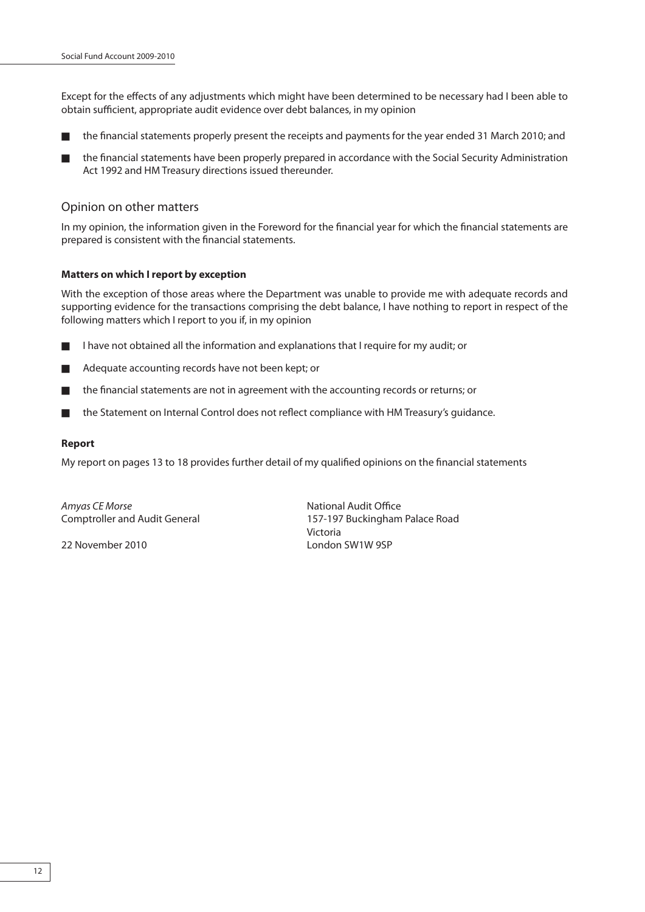Except for the effects of any adjustments which might have been determined to be necessary had I been able to obtain sufficient, appropriate audit evidence over debt balances, in my opinion

- the financial statements properly present the receipts and payments for the year ended 31 March 2010; and
- the financial statements have been properly prepared in accordance with the Social Security Administration Act 1992 and HM Treasury directions issued thereunder.

#### Opinion on other matters

In my opinion, the information given in the Foreword for the financial year for which the financial statements are prepared is consistent with the financial statements.

#### **Matters on which I report by exception**

With the exception of those areas where the Department was unable to provide me with adequate records and supporting evidence for the transactions comprising the debt balance, I have nothing to report in respect of the following matters which I report to you if, in my opinion

- I have not obtained all the information and explanations that I require for my audit; or
- Adequate accounting records have not been kept; or
- the financial statements are not in agreement with the accounting records or returns; or
- the Statement on Internal Control does not reflect compliance with HM Treasury's quidance.

#### **Report**

My report on pages 13 to 18 provides further detail of my qualified opinions on the financial statements

Amyas CE Morse National Audit Office

Comptroller and Audit General 157-197 Buckingham Palace Road Victoria 22 November 2010 London SW1W 9SP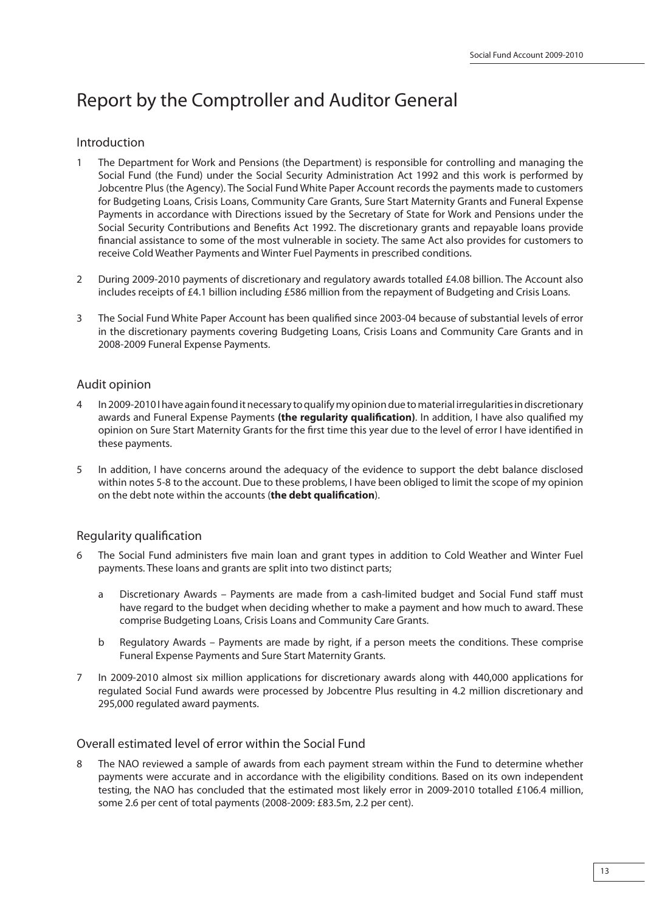# Report by the Comptroller and Auditor General

# Introduction

- 1 The Department for Work and Pensions (the Department) is responsible for controlling and managing the Social Fund (the Fund) under the Social Security Administration Act 1992 and this work is performed by Jobcentre Plus (the Agency). The Social Fund White Paper Account records the payments made to customers for Budgeting Loans, Crisis Loans, Community Care Grants, Sure Start Maternity Grants and Funeral Expense Payments in accordance with Directions issued by the Secretary of State for Work and Pensions under the Social Security Contributions and Benefits Act 1992. The discretionary grants and repayable loans provide financial assistance to some of the most vulnerable in society. The same Act also provides for customers to receive Cold Weather Payments and Winter Fuel Payments in prescribed conditions.
- 2 During 2009-2010 payments of discretionary and regulatory awards totalled £4.08 billion. The Account also includes receipts of £4.1 billion including £586 million from the repayment of Budgeting and Crisis Loans.
- 3 The Social Fund White Paper Account has been qualified since 2003-04 because of substantial levels of error in the discretionary payments covering Budgeting Loans, Crisis Loans and Community Care Grants and in 2008-2009 Funeral Expense Payments.

# Audit opinion

- 4 In 2009-2010 I have again found it necessary to qualify my opinion due to material irregularities in discretionary awards and Funeral Expense Payments (the regularity qualification). In addition, I have also qualified my opinion on Sure Start Maternity Grants for the first time this year due to the level of error I have identified in these payments.
- 5 In addition, I have concerns around the adequacy of the evidence to support the debt balance disclosed within notes 5-8 to the account. Due to these problems, I have been obliged to limit the scope of my opinion on the debt note within the accounts (**the debt qualification**).

# Regularity qualification

- 6 The Social Fund administers five main loan and grant types in addition to Cold Weather and Winter Fuel payments. These loans and grants are split into two distinct parts;
	- a Discretionary Awards Payments are made from a cash-limited budget and Social Fund staff must have regard to the budget when deciding whether to make a payment and how much to award. These comprise Budgeting Loans, Crisis Loans and Community Care Grants.
	- b Regulatory Awards Payments are made by right, if a person meets the conditions. These comprise Funeral Expense Payments and Sure Start Maternity Grants.
- 7 In 2009-2010 almost six million applications for discretionary awards along with 440,000 applications for regulated Social Fund awards were processed by Jobcentre Plus resulting in 4.2 million discretionary and 295,000 regulated award payments.

# Overall estimated level of error within the Social Fund

The NAO reviewed a sample of awards from each payment stream within the Fund to determine whether payments were accurate and in accordance with the eligibility conditions. Based on its own independent testing, the NAO has concluded that the estimated most likely error in 2009-2010 totalled £106.4 million, some 2.6 per cent of total payments (2008-2009: £83.5m, 2.2 per cent).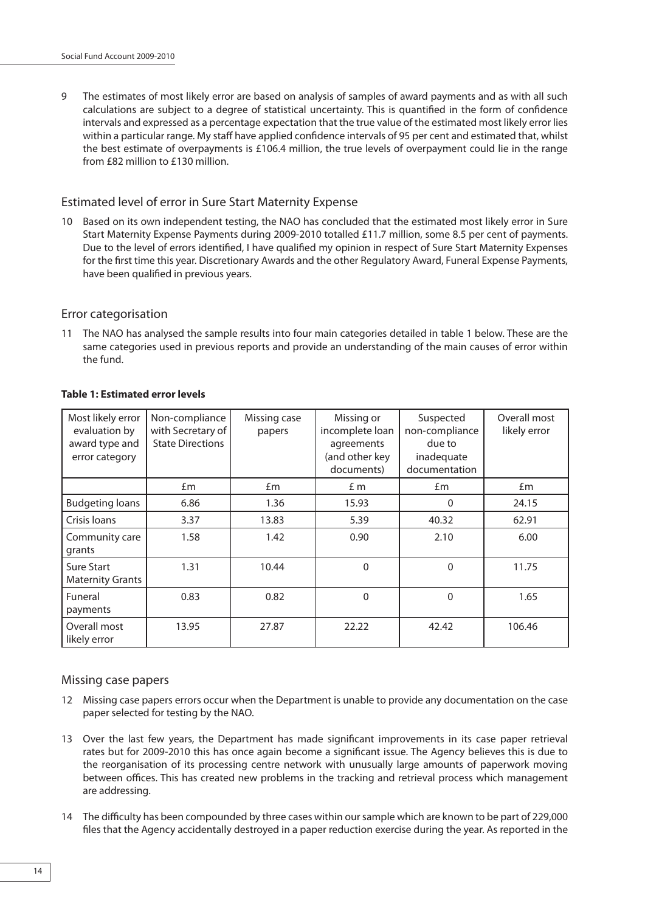9 The estimates of most likely error are based on analysis of samples of award payments and as with all such calculations are subject to a degree of statistical uncertainty. This is quantified in the form of confidence intervals and expressed as a percentage expectation that the true value of the estimated most likely error lies within a particular range. My staff have applied confidence intervals of 95 per cent and estimated that, whilst the best estimate of overpayments is £106.4 million, the true levels of overpayment could lie in the range from £82 million to £130 million.

# Estimated level of error in Sure Start Maternity Expense

10 Based on its own independent testing, the NAO has concluded that the estimated most likely error in Sure Start Maternity Expense Payments during 2009-2010 totalled £11.7 million, some 8.5 per cent of payments. Due to the level of errors identified, I have qualified my opinion in respect of Sure Start Maternity Expenses for the first time this year. Discretionary Awards and the other Regulatory Award, Funeral Expense Payments, have been qualified in previous years.

#### Error categorisation

11 The NAO has analysed the sample results into four main categories detailed in table 1 below. These are the same categories used in previous reports and provide an understanding of the main causes of error within the fund.

| Most likely error<br>evaluation by<br>award type and<br>error category | Non-compliance<br>with Secretary of<br><b>State Directions</b> | Missing case<br>papers | Missing or<br>incomplete loan<br>agreements<br>(and other key<br>documents) | Suspected<br>non-compliance<br>due to<br>inadequate<br>documentation | Overall most<br>likely error |
|------------------------------------------------------------------------|----------------------------------------------------------------|------------------------|-----------------------------------------------------------------------------|----------------------------------------------------------------------|------------------------------|
|                                                                        | £m                                                             | £m                     | £ m                                                                         | £m                                                                   | Em                           |
| <b>Budgeting loans</b>                                                 | 6.86                                                           | 1.36                   | 15.93                                                                       | $\Omega$                                                             | 24.15                        |
| Crisis loans                                                           | 3.37                                                           | 13.83                  | 5.39                                                                        | 40.32                                                                | 62.91                        |
| Community care<br>grants                                               | 1.58                                                           | 1.42                   | 0.90                                                                        | 2.10                                                                 | 6.00                         |
| <b>Sure Start</b><br><b>Maternity Grants</b>                           | 1.31                                                           | 10.44                  | $\mathbf{0}$                                                                | $\Omega$                                                             | 11.75                        |
| Funeral<br>payments                                                    | 0.83                                                           | 0.82                   | $\Omega$                                                                    | $\Omega$                                                             | 1.65                         |
| Overall most<br>likely error                                           | 13.95                                                          | 27.87                  | 22.22                                                                       | 42.42                                                                | 106.46                       |

#### **Table 1: Estimated error levels**

# Missing case papers

- 12 Missing case papers errors occur when the Department is unable to provide any documentation on the case paper selected for testing by the NAO.
- 13 Over the last few years, the Department has made significant improvements in its case paper retrieval rates but for 2009-2010 this has once again become a significant issue. The Agency believes this is due to the reorganisation of its processing centre network with unusually large amounts of paperwork moving between offices. This has created new problems in the tracking and retrieval process which management are addressing.
- 14 The difficulty has been compounded by three cases within our sample which are known to be part of 229,000 files that the Agency accidentally destroyed in a paper reduction exercise during the year. As reported in the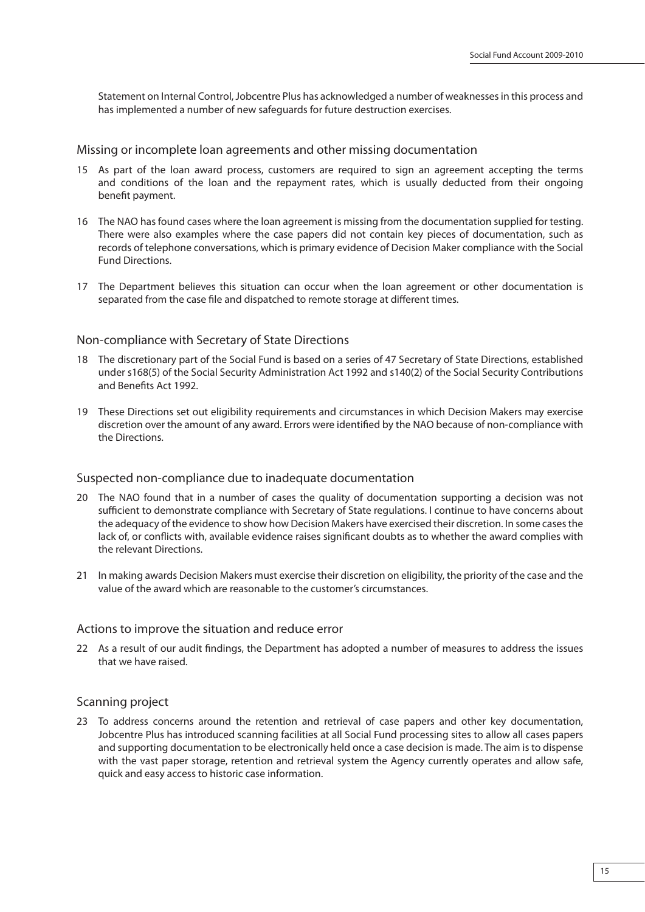Statement on Internal Control, Jobcentre Plus has acknowledged a number of weaknesses in this process and has implemented a number of new safeguards for future destruction exercises.

#### Missing or incomplete loan agreements and other missing documentation

- 15 As part of the loan award process, customers are required to sign an agreement accepting the terms and conditions of the loan and the repayment rates, which is usually deducted from their ongoing benefit payment.
- 16 The NAO has found cases where the loan agreement is missing from the documentation supplied for testing. There were also examples where the case papers did not contain key pieces of documentation, such as records of telephone conversations, which is primary evidence of Decision Maker compliance with the Social Fund Directions.
- 17 The Department believes this situation can occur when the loan agreement or other documentation is separated from the case file and dispatched to remote storage at different times.

### Non-compliance with Secretary of State Directions

- 18 The discretionary part of the Social Fund is based on a series of 47 Secretary of State Directions, established under s168(5) of the Social Security Administration Act 1992 and s140(2) of the Social Security Contributions and Benefits Act 1992.
- 19 These Directions set out eligibility requirements and circumstances in which Decision Makers may exercise discretion over the amount of any award. Errors were identified by the NAO because of non-compliance with the Directions.

#### Suspected non-compliance due to inadequate documentation

- 20 The NAO found that in a number of cases the quality of documentation supporting a decision was not sufficient to demonstrate compliance with Secretary of State regulations. I continue to have concerns about the adequacy of the evidence to show how Decision Makers have exercised their discretion. In some cases the lack of, or conflicts with, available evidence raises significant doubts as to whether the award complies with the relevant Directions.
- 21 In making awards Decision Makers must exercise their discretion on eligibility, the priority of the case and the value of the award which are reasonable to the customer's circumstances.

#### Actions to improve the situation and reduce error

22 As a result of our audit findings, the Department has adopted a number of measures to address the issues that we have raised.

#### Scanning project

23 To address concerns around the retention and retrieval of case papers and other key documentation, Jobcentre Plus has introduced scanning facilities at all Social Fund processing sites to allow all cases papers and supporting documentation to be electronically held once a case decision is made. The aim is to dispense with the vast paper storage, retention and retrieval system the Agency currently operates and allow safe, quick and easy access to historic case information.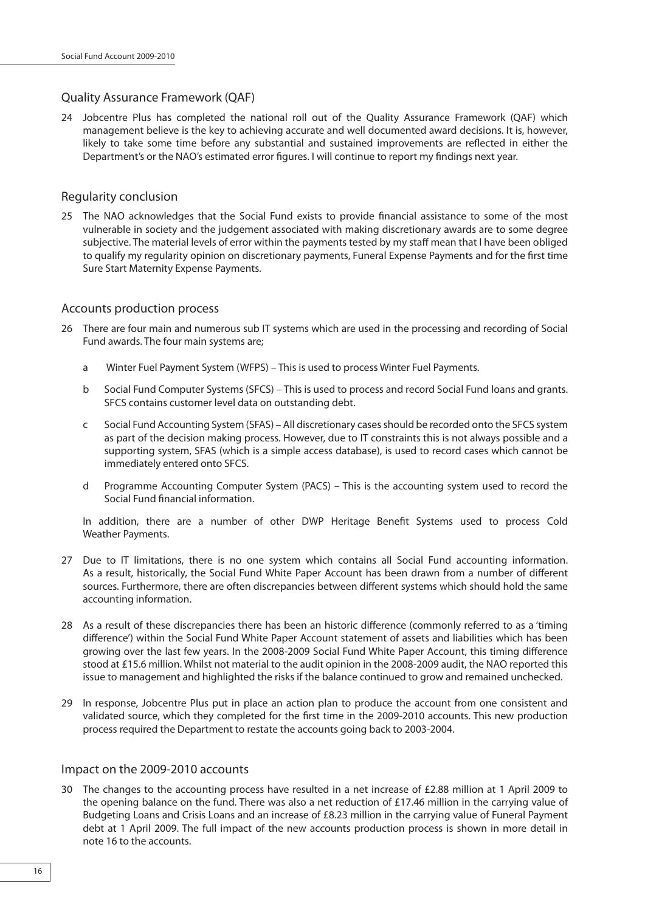# Quality Assurance Framework (QAF)

24 Jobcentre Plus has completed the national roll out of the Quality Assurance Framework (QAF) which management believe is the key to achieving accurate and well documented award decisions. It is, however, likely to take some time before any substantial and sustained improvements are reflected in either the Department's or the NAO's estimated error figures. I will continue to report my findings next year.

# Regularity conclusion

25 The NAO acknowledges that the Social Fund exists to provide financial assistance to some of the most vulnerable in society and the judgement associated with making discretionary awards are to some degree subjective. The material levels of error within the payments tested by my staff mean that I have been obliged to qualify my regularity opinion on discretionary payments, Funeral Expense Payments and for the first time Sure Start Maternity Expense Payments.

# Accounts production process

- 26 There are four main and numerous sub IT systems which are used in the processing and recording of Social Fund awards. The four main systems are;
	- a Winter Fuel Payment System (WFPS) This is used to process Winter Fuel Payments.
	- b Social Fund Computer Systems (SFCS) This is used to process and record Social Fund loans and grants. SFCS contains customer level data on outstanding debt.
	- c Social Fund Accounting System (SFAS) All discretionary cases should be recorded onto the SFCS system as part of the decision making process. However, due to IT constraints this is not always possible and a supporting system, SFAS (which is a simple access database), is used to record cases which cannot be immediately entered onto SFCS.
	- d Programme Accounting Computer System (PACS) This is the accounting system used to record the Social Fund financial information.

In addition, there are a number of other DWP Heritage Benefit Systems used to process Cold Weather Payments.

- 27 Due to IT limitations, there is no one system which contains all Social Fund accounting information. As a result, historically, the Social Fund White Paper Account has been drawn from a number of different sources. Furthermore, there are often discrepancies between different systems which should hold the same accounting information.
- 28 As a result of these discrepancies there has been an historic difference (commonly referred to as a 'timing difference') within the Social Fund White Paper Account statement of assets and liabilities which has been growing over the last few years. In the 2008-2009 Social Fund White Paper Account, this timing difference stood at £15.6 million. Whilst not material to the audit opinion in the 2008-2009 audit, the NAO reported this issue to management and highlighted the risks if the balance continued to grow and remained unchecked.
- 29 In response, Jobcentre Plus put in place an action plan to produce the account from one consistent and validated source, which they completed for the first time in the 2009-2010 accounts. This new production process required the Department to restate the accounts going back to 2003-2004.

# Impact on the 2009-2010 accounts

30 The changes to the accounting process have resulted in a net increase of £2.88 million at 1 April 2009 to the opening balance on the fund. There was also a net reduction of £17.46 million in the carrying value of Budgeting Loans and Crisis Loans and an increase of £8.23 million in the carrying value of Funeral Payment debt at 1 April 2009. The full impact of the new accounts production process is shown in more detail in note 16 to the accounts.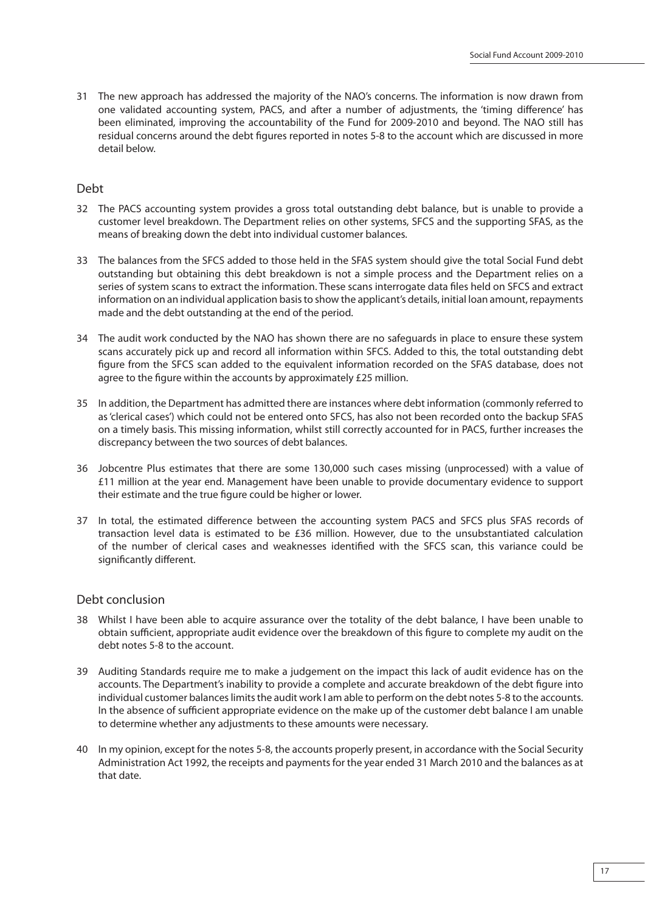31 The new approach has addressed the majority of the NAO's concerns. The information is now drawn from one validated accounting system, PACS, and after a number of adjustments, the 'timing difference' has been eliminated, improving the accountability of the Fund for 2009-2010 and beyond. The NAO still has residual concerns around the debt figures reported in notes 5-8 to the account which are discussed in more detail below.

#### Debt

- 32 The PACS accounting system provides a gross total outstanding debt balance, but is unable to provide a customer level breakdown. The Department relies on other systems, SFCS and the supporting SFAS, as the means of breaking down the debt into individual customer balances.
- 33 The balances from the SFCS added to those held in the SFAS system should give the total Social Fund debt outstanding but obtaining this debt breakdown is not a simple process and the Department relies on a series of system scans to extract the information. These scans interrogate data files held on SFCS and extract information on an individual application basis to show the applicant's details, initial loan amount, repayments made and the debt outstanding at the end of the period.
- 34 The audit work conducted by the NAO has shown there are no safeguards in place to ensure these system scans accurately pick up and record all information within SFCS. Added to this, the total outstanding debt figure from the SFCS scan added to the equivalent information recorded on the SFAS database, does not agree to the figure within the accounts by approximately £25 million.
- 35 In addition, the Department has admitted there are instances where debt information (commonly referred to as 'clerical cases') which could not be entered onto SFCS, has also not been recorded onto the backup SFAS on a timely basis. This missing information, whilst still correctly accounted for in PACS, further increases the discrepancy between the two sources of debt balances.
- 36 Jobcentre Plus estimates that there are some 130,000 such cases missing (unprocessed) with a value of £11 million at the year end. Management have been unable to provide documentary evidence to support their estimate and the true figure could be higher or lower.
- 37 In total, the estimated difference between the accounting system PACS and SFCS plus SFAS records of transaction level data is estimated to be £36 million. However, due to the unsubstantiated calculation of the number of clerical cases and weaknesses identified with the SFCS scan, this variance could be significantly different.

# Debt conclusion

- 38 Whilst I have been able to acquire assurance over the totality of the debt balance, I have been unable to obtain sufficient, appropriate audit evidence over the breakdown of this figure to complete my audit on the debt notes 5-8 to the account.
- 39 Auditing Standards require me to make a judgement on the impact this lack of audit evidence has on the accounts. The Department's inability to provide a complete and accurate breakdown of the debt figure into individual customer balances limits the audit work I am able to perform on the debt notes 5-8 to the accounts. In the absence of sufficient appropriate evidence on the make up of the customer debt balance I am unable to determine whether any adjustments to these amounts were necessary.
- 40 In my opinion, except for the notes 5-8, the accounts properly present, in accordance with the Social Security Administration Act 1992, the receipts and payments for the year ended 31 March 2010 and the balances as at that date.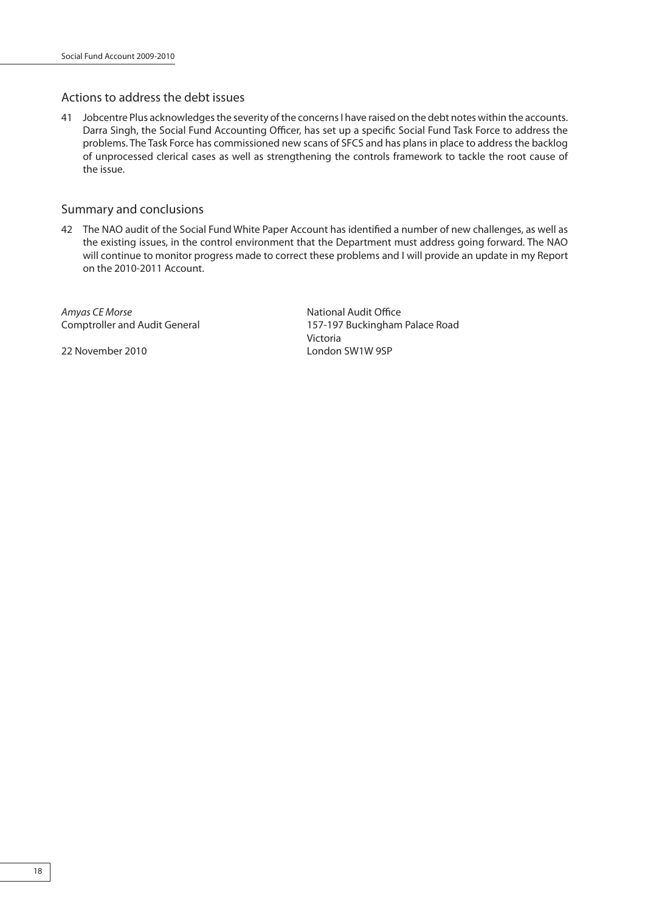# Actions to address the debt issues

41 Jobcentre Plus acknowledges the severity of the concerns I have raised on the debt notes within the accounts. Darra Singh, the Social Fund Accounting Officer, has set up a specific Social Fund Task Force to address the problems. The Task Force has commissioned new scans of SFCS and has plans in place to address the backlog of unprocessed clerical cases as well as strengthening the controls framework to tackle the root cause of the issue.

### Summary and conclusions

42 The NAO audit of the Social Fund White Paper Account has identified a number of new challenges, as well as the existing issues, in the control environment that the Department must address going forward. The NAO will continue to monitor progress made to correct these problems and I will provide an update in my Report on the 2010-2011 Account.

Amyas CE Morse National Audit Office

Comptroller and Audit General 157-197 Buckingham Palace Road Victoria 22 November 2010 London SW1W 9SP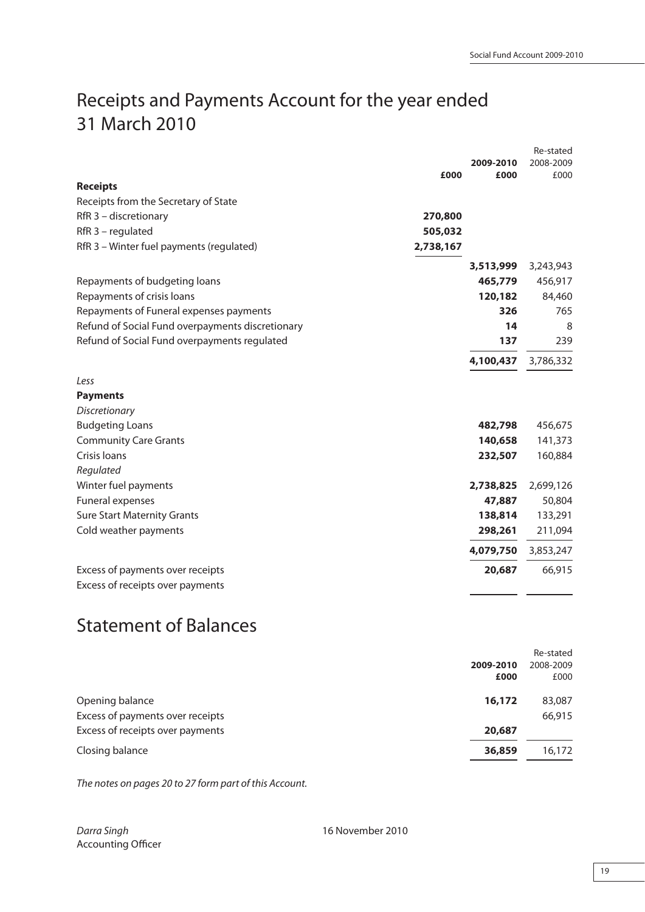# Receipts and Payments Account for the year ended 31 March 2010

|                                                  |           |                   | Re-stated         |
|--------------------------------------------------|-----------|-------------------|-------------------|
|                                                  | £000      | 2009-2010<br>£000 | 2008-2009<br>£000 |
| <b>Receipts</b>                                  |           |                   |                   |
| Receipts from the Secretary of State             |           |                   |                   |
| RfR 3 - discretionary                            | 270,800   |                   |                   |
| $RfR$ 3 – regulated                              | 505,032   |                   |                   |
| RfR 3 - Winter fuel payments (regulated)         | 2,738,167 |                   |                   |
|                                                  |           | 3,513,999         | 3,243,943         |
| Repayments of budgeting loans                    |           | 465,779           | 456,917           |
| Repayments of crisis loans                       |           | 120,182           | 84,460            |
| Repayments of Funeral expenses payments          |           | 326               | 765               |
| Refund of Social Fund overpayments discretionary |           | 14                | 8                 |
| Refund of Social Fund overpayments regulated     |           | 137               | 239               |
|                                                  |           | 4,100,437         | 3,786,332         |
| Less                                             |           |                   |                   |
| <b>Payments</b>                                  |           |                   |                   |
| <b>Discretionary</b>                             |           |                   |                   |
| <b>Budgeting Loans</b>                           |           | 482,798           | 456,675           |
| <b>Community Care Grants</b>                     |           | 140,658           | 141,373           |
| Crisis Ioans                                     |           | 232,507           | 160,884           |
| Regulated                                        |           |                   |                   |
| Winter fuel payments                             |           | 2,738,825         | 2,699,126         |
| Funeral expenses                                 |           | 47,887            | 50,804            |
| <b>Sure Start Maternity Grants</b>               |           | 138,814           | 133,291           |
| Cold weather payments                            |           | 298,261           | 211,094           |
|                                                  |           | 4,079,750         | 3,853,247         |
| Excess of payments over receipts                 |           | 20,687            | 66,915            |
| Excess of receipts over payments                 |           |                   |                   |
|                                                  |           |                   |                   |

# Statement of Balances

|                                  |                   | Re-stated         |
|----------------------------------|-------------------|-------------------|
|                                  | 2009-2010<br>£000 | 2008-2009<br>£000 |
| Opening balance                  | 16,172            | 83,087            |
| Excess of payments over receipts |                   | 66,915            |
| Excess of receipts over payments | 20,687            |                   |
| Closing balance                  | 36,859            | 16,172            |

The notes on pages 20 to 27 form part of this Account.

Darra Singh 16 November 2010 Accounting Officer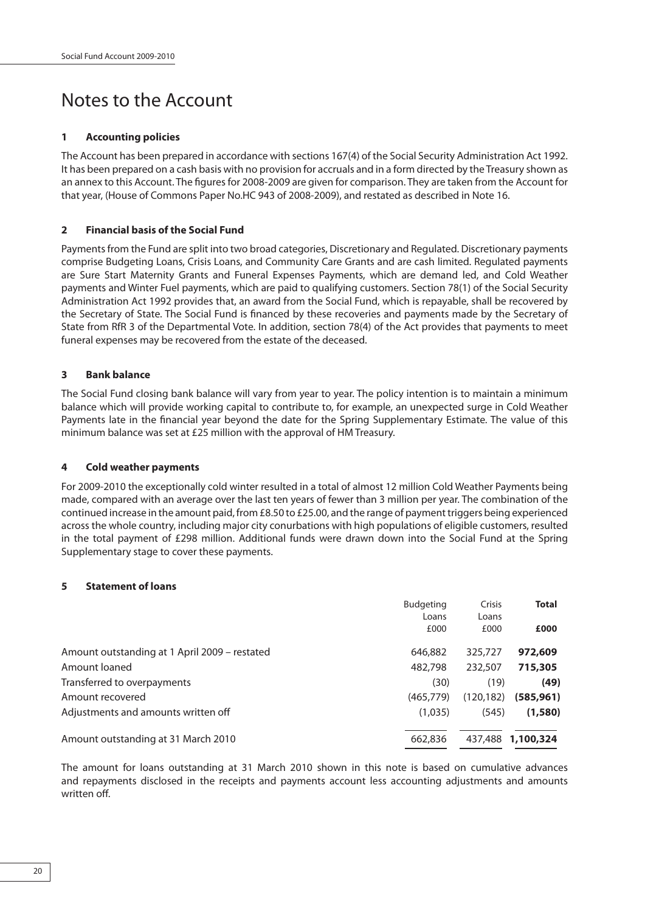# Notes to the Account

#### **1 Accounting policies**

The Account has been prepared in accordance with sections 167(4) of the Social Security Administration Act 1992. It has been prepared on a cash basis with no provision for accruals and in a form directed by the Treasury shown as an annex to this Account. The figures for 2008-2009 are given for comparison. They are taken from the Account for that year, (House of Commons Paper No.HC 943 of 2008-2009), and restated as described in Note 16.

#### **2 Financial basis of the Social Fund**

Payments from the Fund are split into two broad categories, Discretionary and Regulated. Discretionary payments comprise Budgeting Loans, Crisis Loans, and Community Care Grants and are cash limited. Regulated payments are Sure Start Maternity Grants and Funeral Expenses Payments, which are demand led, and Cold Weather payments and Winter Fuel payments, which are paid to qualifying customers. Section 78(1) of the Social Security Administration Act 1992 provides that, an award from the Social Fund, which is repayable, shall be recovered by the Secretary of State. The Social Fund is financed by these recoveries and payments made by the Secretary of State from RfR 3 of the Departmental Vote. In addition, section 78(4) of the Act provides that payments to meet funeral expenses may be recovered from the estate of the deceased.

#### **3 Bank balance**

The Social Fund closing bank balance will vary from year to year. The policy intention is to maintain a minimum balance which will provide working capital to contribute to, for example, an unexpected surge in Cold Weather Payments late in the financial year beyond the date for the Spring Supplementary Estimate. The value of this minimum balance was set at £25 million with the approval of HM Treasury.

#### **4 Cold weather payments**

For 2009-2010 the exceptionally cold winter resulted in a total of almost 12 million Cold Weather Payments being made, compared with an average over the last ten years of fewer than 3 million per year. The combination of the continued increase in the amount paid, from £8.50 to £25.00, and the range of payment triggers being experienced across the whole country, including major city conurbations with high populations of eligible customers, resulted in the total payment of £298 million. Additional funds were drawn down into the Social Fund at the Spring Supplementary stage to cover these payments.

#### **5 Statement of loans**

|                                               | <b>Budgeting</b><br>Loans | Crisis<br>Loans | <b>Total</b>      |
|-----------------------------------------------|---------------------------|-----------------|-------------------|
|                                               | £000                      | £000            | £000              |
| Amount outstanding at 1 April 2009 - restated | 646,882                   | 325,727         | 972,609           |
| Amount loaned                                 | 482,798                   | 232,507         | 715,305           |
| Transferred to overpayments                   | (30)                      | (19)            | (49)              |
| Amount recovered                              | (465, 779)                | (120, 182)      | (585, 961)        |
| Adjustments and amounts written off           | (1,035)                   | (545)           | (1,580)           |
| Amount outstanding at 31 March 2010           | 662,836                   |                 | 437,488 1,100,324 |

The amount for loans outstanding at 31 March 2010 shown in this note is based on cumulative advances and repayments disclosed in the receipts and payments account less accounting adjustments and amounts written off.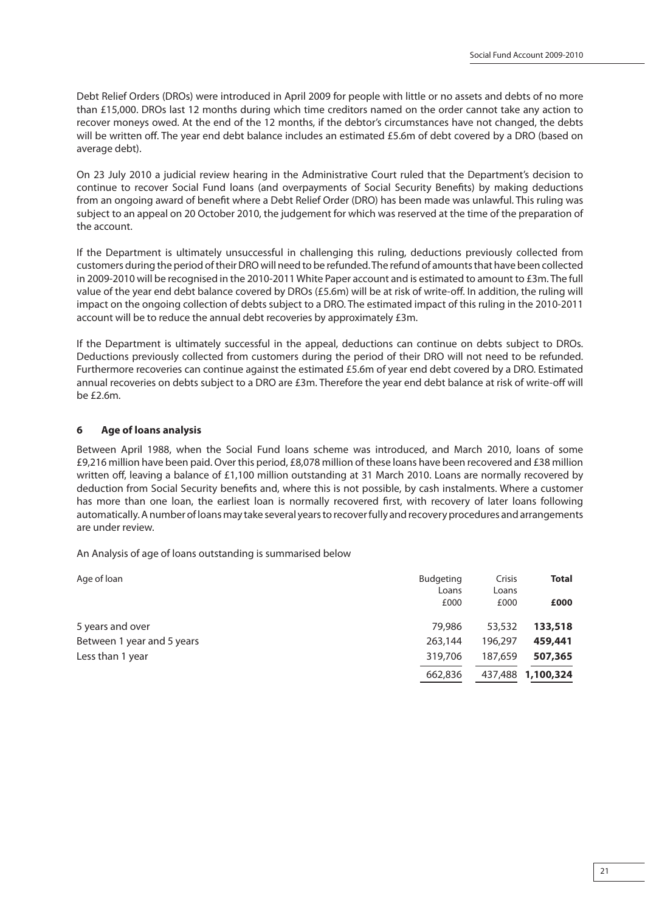Debt Relief Orders (DROs) were introduced in April 2009 for people with little or no assets and debts of no more than £15,000. DROs last 12 months during which time creditors named on the order cannot take any action to recover moneys owed. At the end of the 12 months, if the debtor's circumstances have not changed, the debts will be written off. The year end debt balance includes an estimated £5.6m of debt covered by a DRO (based on average debt).

On 23 July 2010 a judicial review hearing in the Administrative Court ruled that the Department's decision to continue to recover Social Fund loans (and overpayments of Social Security Benefits) by making deductions from an ongoing award of benefit where a Debt Relief Order (DRO) has been made was unlawful. This ruling was subject to an appeal on 20 October 2010, the judgement for which was reserved at the time of the preparation of the account.

If the Department is ultimately unsuccessful in challenging this ruling, deductions previously collected from customers during the period of their DRO will need to be refunded. The refund of amounts that have been collected in 2009-2010 will be recognised in the 2010-2011 White Paper account and is estimated to amount to £3m. The full value of the year end debt balance covered by DROs (£5.6m) will be at risk of write-off. In addition, the ruling will impact on the ongoing collection of debts subject to a DRO. The estimated impact of this ruling in the 2010-2011 account will be to reduce the annual debt recoveries by approximately £3m.

If the Department is ultimately successful in the appeal, deductions can continue on debts subject to DROs. Deductions previously collected from customers during the period of their DRO will not need to be refunded. Furthermore recoveries can continue against the estimated £5.6m of year end debt covered by a DRO. Estimated annual recoveries on debts subject to a DRO are £3m. Therefore the year end debt balance at risk of write-off will be £2.6m.

#### **6 Age of loans analysis**

Between April 1988, when the Social Fund loans scheme was introduced, and March 2010, loans of some £9,216 million have been paid. Over this period, £8,078 million of these loans have been recovered and £38 million written off, leaving a balance of £1,100 million outstanding at 31 March 2010. Loans are normally recovered by deduction from Social Security benefits and, where this is not possible, by cash instalments. Where a customer has more than one loan, the earliest loan is normally recovered first, with recovery of later loans following automatically. A number of loans may take several years to recover fully and recovery procedures and arrangements are under review.

An Analysis of age of loans outstanding is summarised below

| Age of loan                | <b>Budgeting</b> | Crisis  | <b>Total</b>      |
|----------------------------|------------------|---------|-------------------|
|                            | Loans            | Loans   |                   |
|                            | £000             | £000    | £000              |
| 5 years and over           | 79,986           | 53,532  | 133,518           |
| Between 1 year and 5 years | 263,144          | 196,297 | 459,441           |
| Less than 1 year           | 319,706          | 187,659 | 507,365           |
|                            | 662,836          |         | 437,488 1,100,324 |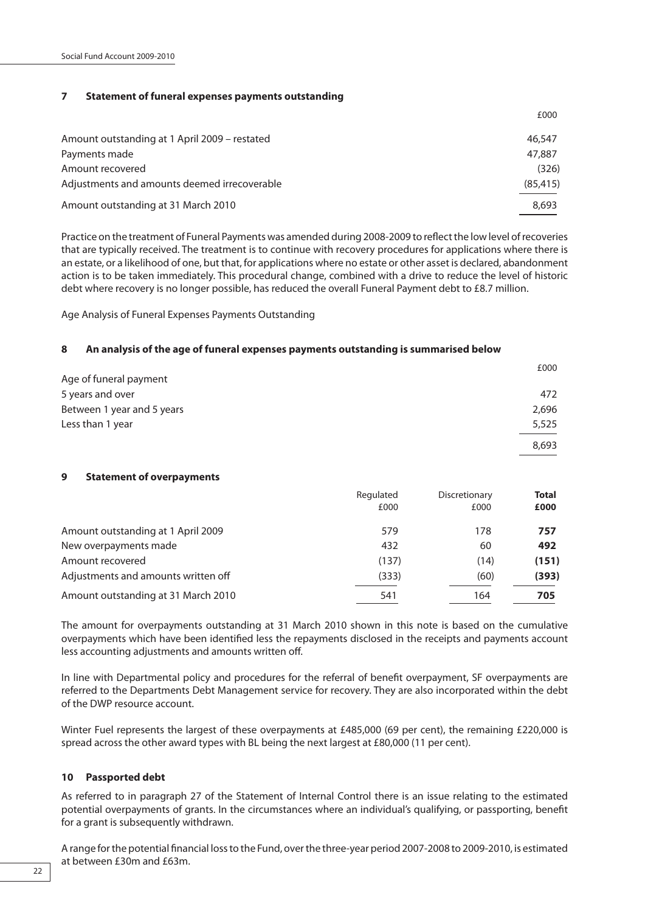#### **7 Statement of funeral expenses payments outstanding**

|                                               | £000      |
|-----------------------------------------------|-----------|
| Amount outstanding at 1 April 2009 - restated | 46,547    |
| Payments made                                 | 47,887    |
| Amount recovered                              | (326)     |
| Adjustments and amounts deemed irrecoverable  | (85, 415) |
| Amount outstanding at 31 March 2010           | 8,693     |

Practice on the treatment of Funeral Payments was amended during 2008-2009 to reflect the low level of recoveries that are typically received. The treatment is to continue with recovery procedures for applications where there is an estate, or a likelihood of one, but that, for applications where no estate or other asset is declared, abandonment action is to be taken immediately. This procedural change, combined with a drive to reduce the level of historic debt where recovery is no longer possible, has reduced the overall Funeral Payment debt to £8.7 million.

Age Analysis of Funeral Expenses Payments Outstanding

#### **8 An analysis of the age of funeral expenses payments outstanding is summarised below**

|                                       |           |               | £000         |
|---------------------------------------|-----------|---------------|--------------|
| Age of funeral payment                |           |               |              |
| 5 years and over                      |           |               | 472          |
| Between 1 year and 5 years            |           |               | 2,696        |
| Less than 1 year                      |           |               | 5,525        |
|                                       |           |               | 8,693        |
| 9<br><b>Statement of overpayments</b> |           |               |              |
|                                       | Regulated | Discretionary | <b>Total</b> |
|                                       | £000      | £000          | £000         |
| Amount outstanding at 1 April 2009    | 579       | 178           | 757          |
| New overpayments made                 | 432       | 60            | 492          |
| Amount recovered                      | (137)     | (14)          | (151)        |
| Adjustments and amounts written off   | (333)     | (60)          | (393)        |
| Amount outstanding at 31 March 2010   | 541       | 164           | 705          |

The amount for overpayments outstanding at 31 March 2010 shown in this note is based on the cumulative overpayments which have been identified less the repayments disclosed in the receipts and payments account less accounting adjustments and amounts written off.

In line with Departmental policy and procedures for the referral of benefit overpayment, SF overpayments are referred to the Departments Debt Management service for recovery. They are also incorporated within the debt of the DWP resource account.

Winter Fuel represents the largest of these overpayments at £485,000 (69 per cent), the remaining £220,000 is spread across the other award types with BL being the next largest at £80,000 (11 per cent).

#### **10 Passported debt**

As referred to in paragraph 27 of the Statement of Internal Control there is an issue relating to the estimated potential overpayments of grants. In the circumstances where an individual's qualifying, or passporting, benefit for a grant is subsequently withdrawn.

A range for the potential financial loss to the Fund, over the three-year period 2007-2008 to 2009-2010, is estimated at between £30m and £63m.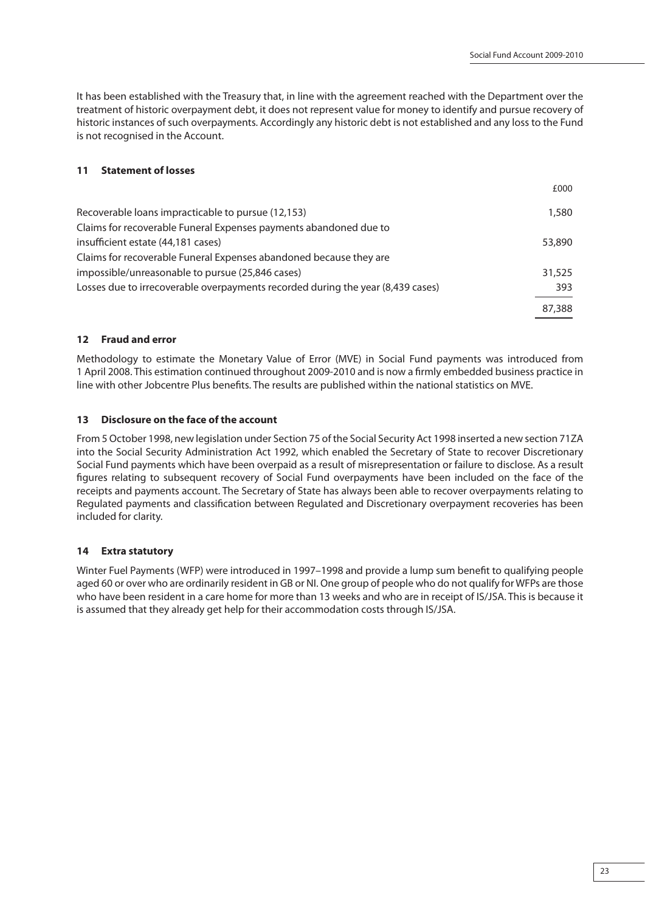It has been established with the Treasury that, in line with the agreement reached with the Department over the treatment of historic overpayment debt, it does not represent value for money to identify and pursue recovery of historic instances of such overpayments. Accordingly any historic debt is not established and any loss to the Fund is not recognised in the Account.

### **11 Statement of losses**

|                                                                                 | £000   |
|---------------------------------------------------------------------------------|--------|
| Recoverable loans impracticable to pursue (12,153)                              | 1,580  |
| Claims for recoverable Funeral Expenses payments abandoned due to               |        |
| insufficient estate (44,181 cases)                                              | 53,890 |
| Claims for recoverable Funeral Expenses abandoned because they are              |        |
| impossible/unreasonable to pursue (25,846 cases)                                | 31,525 |
| Losses due to irrecoverable overpayments recorded during the year (8,439 cases) | 393    |
|                                                                                 | 87,388 |

### **12 Fraud and error**

Methodology to estimate the Monetary Value of Error (MVE) in Social Fund payments was introduced from 1 April 2008. This estimation continued throughout 2009-2010 and is now a firmly embedded business practice in line with other Jobcentre Plus benefits. The results are published within the national statistics on MVE.

### **13 Disclosure on the face of the account**

From 5 October 1998, new legislation under Section 75 of the Social Security Act 1998 inserted a new section 71ZA into the Social Security Administration Act 1992, which enabled the Secretary of State to recover Discretionary Social Fund payments which have been overpaid as a result of misrepresentation or failure to disclose. As a result figures relating to subsequent recovery of Social Fund overpayments have been included on the face of the receipts and payments account. The Secretary of State has always been able to recover overpayments relating to Regulated payments and classification between Regulated and Discretionary overpayment recoveries has been included for clarity.

#### **14 Extra statutory**

Winter Fuel Payments (WFP) were introduced in 1997–1998 and provide a lump sum benefit to qualifying people aged 60 or over who are ordinarily resident in GB or NI. One group of people who do not qualify for WFPs are those who have been resident in a care home for more than 13 weeks and who are in receipt of IS/JSA. This is because it is assumed that they already get help for their accommodation costs through IS/JSA.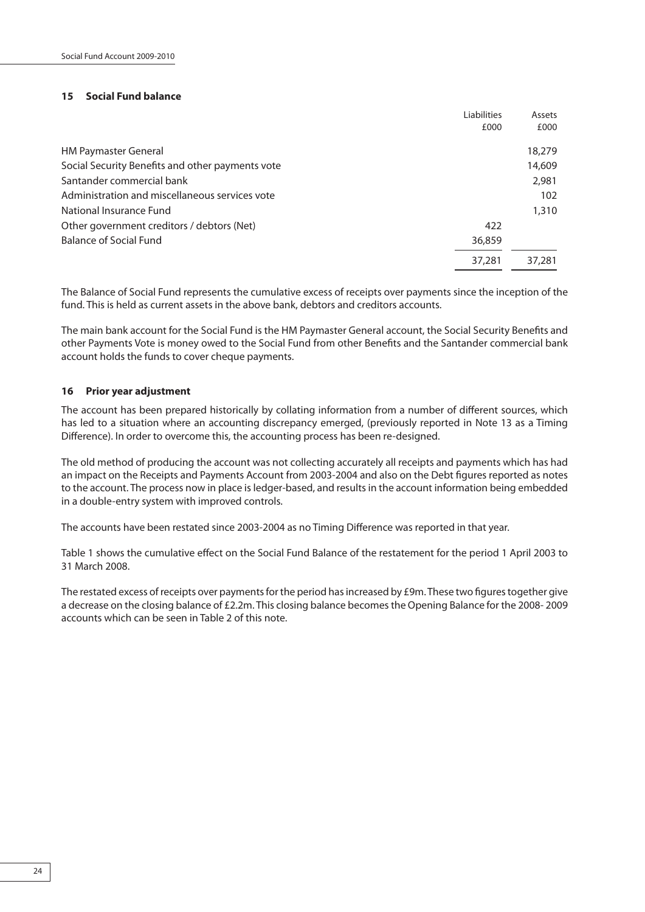#### **15 Social Fund balance**

|                                                  | Liabilities | Assets |
|--------------------------------------------------|-------------|--------|
|                                                  | £000        | £000   |
| <b>HM Paymaster General</b>                      |             | 18,279 |
| Social Security Benefits and other payments vote |             | 14,609 |
| Santander commercial bank                        |             | 2,981  |
| Administration and miscellaneous services vote   |             | 102    |
| National Insurance Fund                          |             | 1,310  |
| Other government creditors / debtors (Net)       | 422         |        |
| <b>Balance of Social Fund</b>                    | 36,859      |        |
|                                                  | 37,281      | 37,281 |

The Balance of Social Fund represents the cumulative excess of receipts over payments since the inception of the fund. This is held as current assets in the above bank, debtors and creditors accounts.

The main bank account for the Social Fund is the HM Paymaster General account, the Social Security Benefits and other Payments Vote is money owed to the Social Fund from other Benefits and the Santander commercial bank account holds the funds to cover cheque payments.

#### **16 Prior year adjustment**

The account has been prepared historically by collating information from a number of different sources, which has led to a situation where an accounting discrepancy emerged, (previously reported in Note 13 as a Timing Difference). In order to overcome this, the accounting process has been re-designed.

The old method of producing the account was not collecting accurately all receipts and payments which has had an impact on the Receipts and Payments Account from 2003-2004 and also on the Debt figures reported as notes to the account. The process now in place is ledger-based, and results in the account information being embedded in a double-entry system with improved controls.

The accounts have been restated since 2003-2004 as no Timing Difference was reported in that year.

Table 1 shows the cumulative effect on the Social Fund Balance of the restatement for the period 1 April 2003 to 31 March 2008.

The restated excess of receipts over payments for the period has increased by  $E9m$ . These two figures together give a decrease on the closing balance of £2.2m. This closing balance becomes the Opening Balance for the 2008- 2009 accounts which can be seen in Table 2 of this note.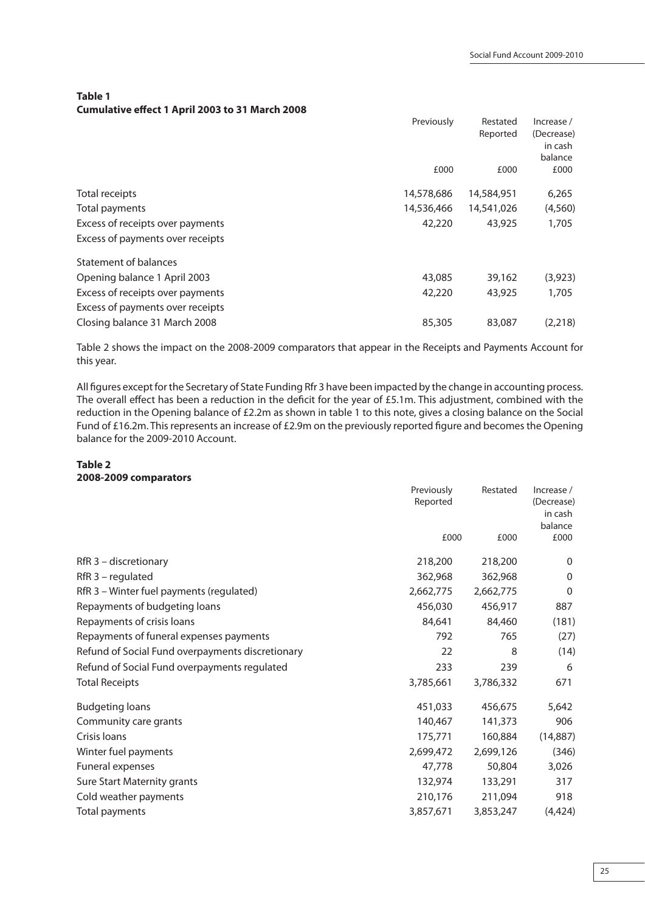**Table 1 Cumulative effect 1 April 2003 to 31 March 2008** 

|                                            | Reported   | (Decrease)<br>in cash<br>balance |
|--------------------------------------------|------------|----------------------------------|
|                                            |            |                                  |
|                                            |            |                                  |
|                                            |            |                                  |
| £000                                       | £000       | £000                             |
| 14,578,686<br>Total receipts               | 14,584,951 | 6,265                            |
| 14,536,466<br>Total payments               | 14,541,026 | (4,560)                          |
| 42,220<br>Excess of receipts over payments | 43,925     | 1,705                            |
| Excess of payments over receipts           |            |                                  |
| Statement of balances                      |            |                                  |
| Opening balance 1 April 2003<br>43,085     | 39,162     | (3,923)                          |
| 42,220<br>Excess of receipts over payments | 43,925     | 1,705                            |
| Excess of payments over receipts           |            |                                  |
| Closing balance 31 March 2008<br>85,305    | 83,087     | (2,218)                          |

Table 2 shows the impact on the 2008-2009 comparators that appear in the Receipts and Payments Account for this year.

All figures except for the Secretary of State Funding Rfr 3 have been impacted by the change in accounting process. The overall effect has been a reduction in the deficit for the year of £5.1m. This adjustment, combined with the reduction in the Opening balance of £2.2m as shown in table 1 to this note, gives a closing balance on the Social Fund of £16.2m. This represents an increase of £2.9m on the previously reported figure and becomes the Opening balance for the 2009-2010 Account.

### **Table 2 2008-2009 comparators**

|                                                  | Previously<br>Reported | Restated  | Increase /<br>(Decrease)<br>in cash<br>balance |
|--------------------------------------------------|------------------------|-----------|------------------------------------------------|
|                                                  |                        |           |                                                |
|                                                  | £000                   | £000      | £000                                           |
| RfR 3 - discretionary                            | 218,200                | 218,200   | $\Omega$                                       |
| $RfR$ 3 – regulated                              | 362,968                | 362,968   | $\Omega$                                       |
| RfR 3 - Winter fuel payments (regulated)         | 2,662,775              | 2,662,775 | $\mathbf 0$                                    |
| Repayments of budgeting loans                    | 456,030                | 456,917   | 887                                            |
| Repayments of crisis loans                       | 84,641                 | 84,460    | (181)                                          |
| Repayments of funeral expenses payments          | 792                    | 765       | (27)                                           |
| Refund of Social Fund overpayments discretionary | 22                     | 8         | (14)                                           |
| Refund of Social Fund overpayments regulated     | 233                    | 239       | 6                                              |
| <b>Total Receipts</b>                            | 3,785,661              | 3,786,332 | 671                                            |
| <b>Budgeting loans</b>                           | 451,033                | 456,675   | 5,642                                          |
| Community care grants                            | 140,467                | 141,373   | 906                                            |
| Crisis loans                                     | 175,771                | 160,884   | (14, 887)                                      |
| Winter fuel payments                             | 2,699,472              | 2,699,126 | (346)                                          |
| Funeral expenses                                 | 47,778                 | 50,804    | 3,026                                          |
| Sure Start Maternity grants                      | 132,974                | 133,291   | 317                                            |
| Cold weather payments                            | 210,176                | 211,094   | 918                                            |
| Total payments                                   | 3,857,671              | 3,853,247 | (4, 424)                                       |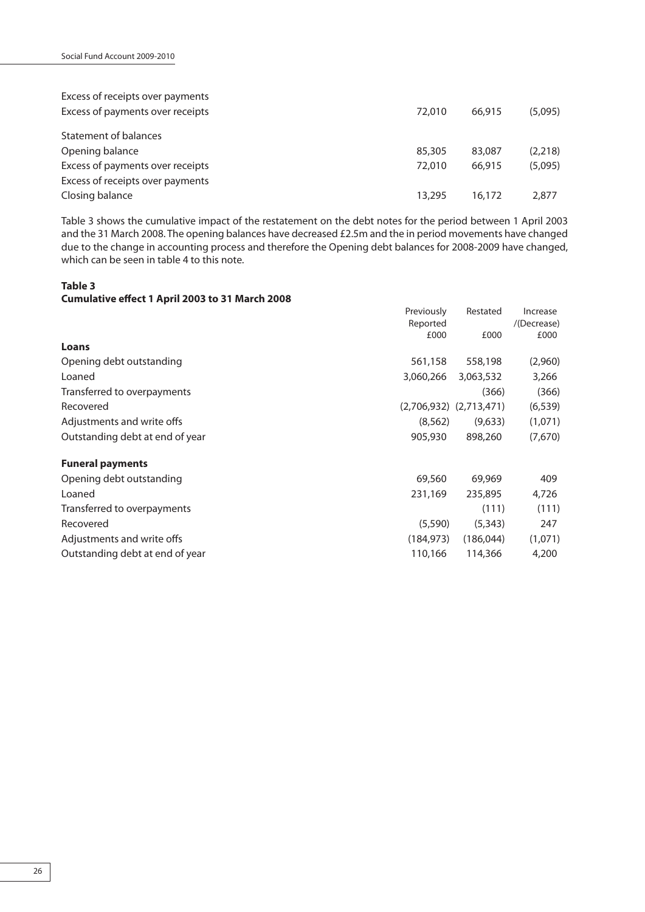| Excess of receipts over payments |        |        |         |
|----------------------------------|--------|--------|---------|
| Excess of payments over receipts | 72.010 | 66.915 | (5,095) |
| Statement of balances            |        |        |         |
| Opening balance                  | 85,305 | 83,087 | (2,218) |
| Excess of payments over receipts | 72,010 | 66,915 | (5,095) |
| Excess of receipts over payments |        |        |         |
| Closing balance                  | 13,295 | 16.172 | 2.877   |

Table 3 shows the cumulative impact of the restatement on the debt notes for the period between 1 April 2003 and the 31 March 2008. The opening balances have decreased £2.5m and the in period movements have changed due to the change in accounting process and therefore the Opening debt balances for 2008-2009 have changed, which can be seen in table 4 to this note.

# **Table 3 Cumulative effect 1 April 2003 to 31 March 2008**

| Loans                           | Previously<br>Reported<br>£000 | Restated<br>£000            | Increase<br>/(Decrease)<br>£000 |
|---------------------------------|--------------------------------|-----------------------------|---------------------------------|
|                                 |                                |                             |                                 |
| Opening debt outstanding        | 561,158                        | 558,198                     | (2,960)                         |
| Loaned                          | 3,060,266                      | 3,063,532                   | 3,266                           |
| Transferred to overpayments     |                                | (366)                       | (366)                           |
| Recovered                       |                                | $(2,706,932)$ $(2,713,471)$ | (6, 539)                        |
| Adjustments and write offs      | (8,562)                        | (9,633)                     | (1,071)                         |
| Outstanding debt at end of year | 905,930                        | 898,260                     | (7,670)                         |
| <b>Funeral payments</b>         |                                |                             |                                 |
| Opening debt outstanding        | 69,560                         | 69,969                      | 409                             |
| Loaned                          | 231,169                        | 235,895                     | 4,726                           |
| Transferred to overpayments     |                                | (111)                       | (111)                           |
| Recovered                       | (5,590)                        | (5,343)                     | 247                             |
| Adjustments and write offs      | (184, 973)                     | (186, 044)                  | (1,071)                         |
| Outstanding debt at end of year | 110,166                        | 114,366                     | 4,200                           |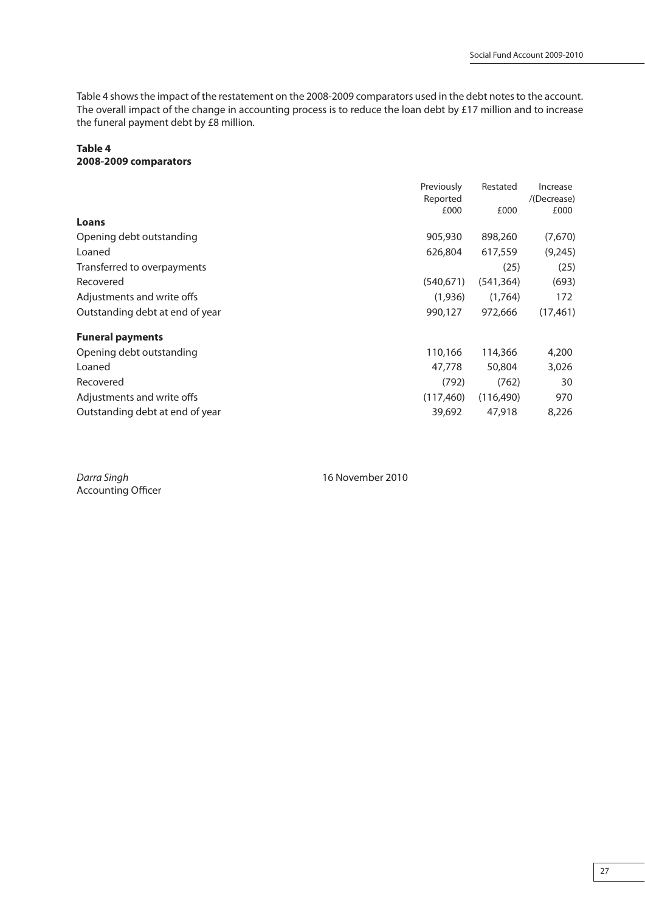Table 4 shows the impact of the restatement on the 2008-2009 comparators used in the debt notes to the account. The overall impact of the change in accounting process is to reduce the loan debt by £17 million and to increase the funeral payment debt by £8 million.

### **Table 4 2008-2009 comparators**

|                                 | Previously       | Restated   | Increase            |
|---------------------------------|------------------|------------|---------------------|
|                                 | Reported<br>£000 | £000       | /(Decrease)<br>£000 |
| Loans                           |                  |            |                     |
| Opening debt outstanding        | 905,930          | 898,260    | (7,670)             |
| Loaned                          | 626,804          | 617,559    | (9, 245)            |
| Transferred to overpayments     |                  | (25)       | (25)                |
| Recovered                       | (540, 671)       | (541, 364) | (693)               |
| Adjustments and write offs      | (1,936)          | (1,764)    | 172                 |
| Outstanding debt at end of year | 990,127          | 972,666    | (17, 461)           |
| <b>Funeral payments</b>         |                  |            |                     |
| Opening debt outstanding        | 110,166          | 114,366    | 4,200               |
| Loaned                          | 47,778           | 50,804     | 3,026               |
| Recovered                       | (792)            | (762)      | 30                  |
| Adjustments and write offs      | (117, 460)       | (116, 490) | 970                 |
| Outstanding debt at end of year | 39,692           | 47,918     | 8,226               |

Darra Singh 16 November 2010 Accounting Officer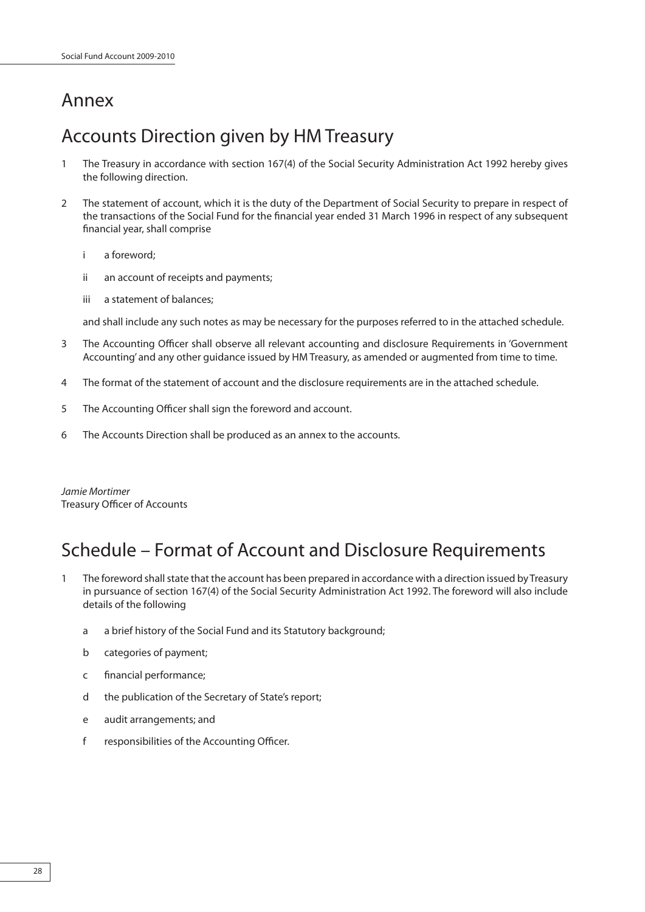# Annex

# Accounts Direction given by HM Treasury

- 1 The Treasury in accordance with section 167(4) of the Social Security Administration Act 1992 hereby gives the following direction.
- 2 The statement of account, which it is the duty of the Department of Social Security to prepare in respect of the transactions of the Social Fund for the financial year ended 31 March 1996 in respect of any subsequent financial year, shall comprise
	- i a foreword;
	- ii an account of receipts and payments;
	- iii a statement of balances;

and shall include any such notes as may be necessary for the purposes referred to in the attached schedule.

- 3 The Accounting Officer shall observe all relevant accounting and disclosure Requirements in 'Government Accounting' and any other guidance issued by HM Treasury, as amended or augmented from time to time.
- 4 The format of the statement of account and the disclosure requirements are in the attached schedule.
- 5 The Accounting Officer shall sign the foreword and account.
- 6 The Accounts Direction shall be produced as an annex to the accounts.

Jamie Mortimer Treasury Officer of Accounts

# Schedule – Format of Account and Disclosure Requirements

- 1 The foreword shall state that the account has been prepared in accordance with a direction issued by Treasury in pursuance of section 167(4) of the Social Security Administration Act 1992. The foreword will also include details of the following
	- a a brief history of the Social Fund and its Statutory background;
	- b categories of payment;
	- c financial performance;
	- d the publication of the Secretary of State's report;
	- e audit arrangements; and
	- f responsibilities of the Accounting Officer.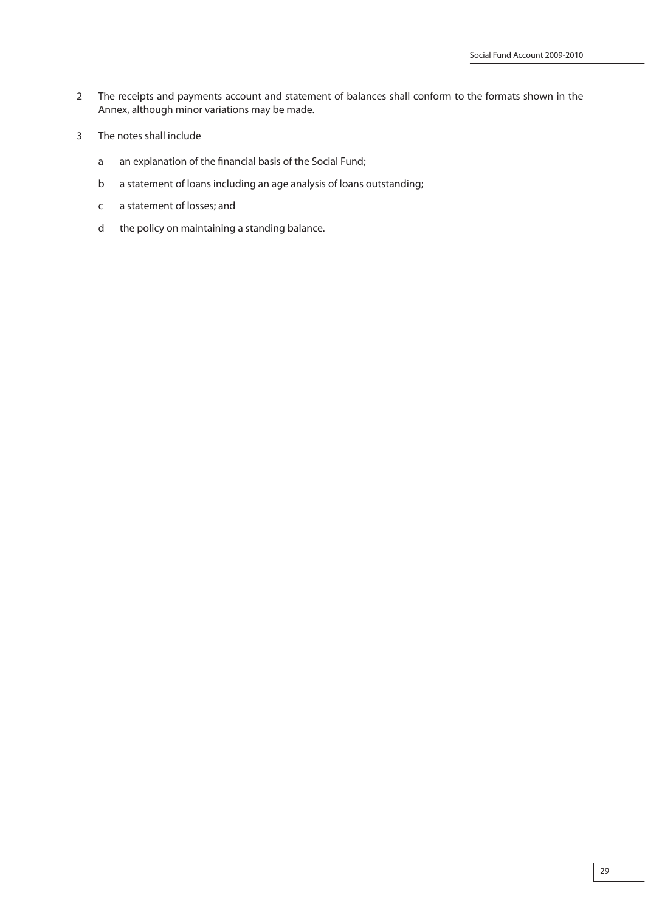- 2 The receipts and payments account and statement of balances shall conform to the formats shown in the Annex, although minor variations may be made.
- 3 The notes shall include
	- a an explanation of the financial basis of the Social Fund;
	- b a statement of loans including an age analysis of loans outstanding;
	- c a statement of losses; and
	- d the policy on maintaining a standing balance.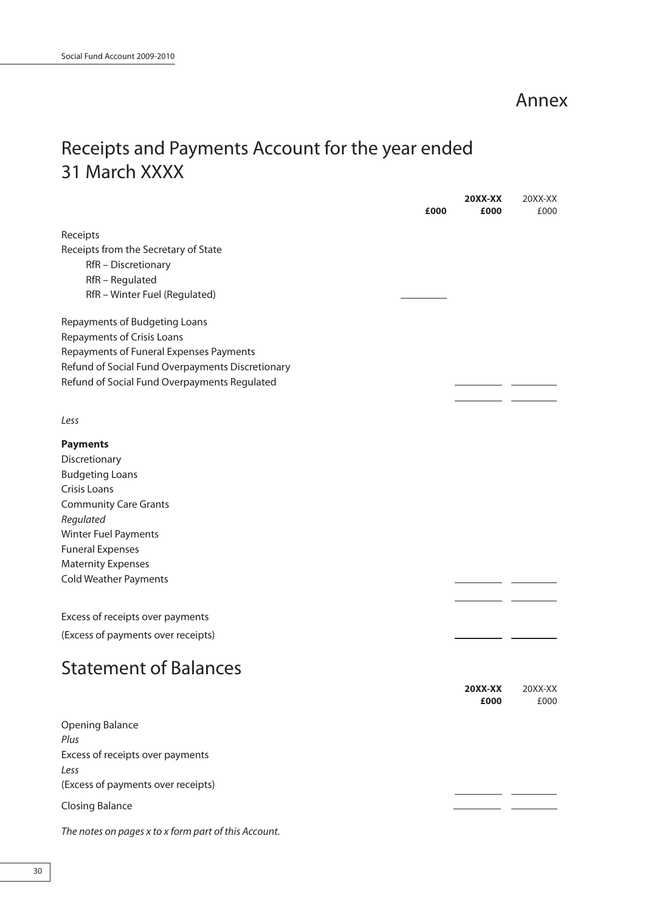Annex

# Receipts and Payments Account for the year ended 31 March XXXX

|                                                      | £000 | <b>20XX-XX</b><br>£000 | 20XX-XX<br>£000 |
|------------------------------------------------------|------|------------------------|-----------------|
| Receipts                                             |      |                        |                 |
| Receipts from the Secretary of State                 |      |                        |                 |
| RfR - Discretionary                                  |      |                        |                 |
| RfR - Regulated                                      |      |                        |                 |
| RfR - Winter Fuel (Regulated)                        |      |                        |                 |
| Repayments of Budgeting Loans                        |      |                        |                 |
| Repayments of Crisis Loans                           |      |                        |                 |
| Repayments of Funeral Expenses Payments              |      |                        |                 |
| Refund of Social Fund Overpayments Discretionary     |      |                        |                 |
| Refund of Social Fund Overpayments Regulated         |      |                        |                 |
| Less                                                 |      |                        |                 |
| <b>Payments</b>                                      |      |                        |                 |
| Discretionary                                        |      |                        |                 |
| <b>Budgeting Loans</b>                               |      |                        |                 |
| <b>Crisis Loans</b>                                  |      |                        |                 |
| <b>Community Care Grants</b>                         |      |                        |                 |
| Regulated                                            |      |                        |                 |
| <b>Winter Fuel Payments</b>                          |      |                        |                 |
| <b>Funeral Expenses</b><br><b>Maternity Expenses</b> |      |                        |                 |
| <b>Cold Weather Payments</b>                         |      |                        |                 |
|                                                      |      |                        |                 |
| Excess of receipts over payments                     |      |                        |                 |
| (Excess of payments over receipts)                   |      |                        |                 |
| <b>Statement of Balances</b>                         |      |                        |                 |
|                                                      |      | <b>20XX-XX</b>         | 20XX-XX         |
|                                                      |      | £000                   | £000            |
| <b>Opening Balance</b><br>Plus                       |      |                        |                 |
| Excess of receipts over payments<br>Less             |      |                        |                 |
| (Excess of payments over receipts)                   |      |                        |                 |
| <b>Closing Balance</b>                               |      |                        |                 |
| The notes on pages x to x form part of this Account. |      |                        |                 |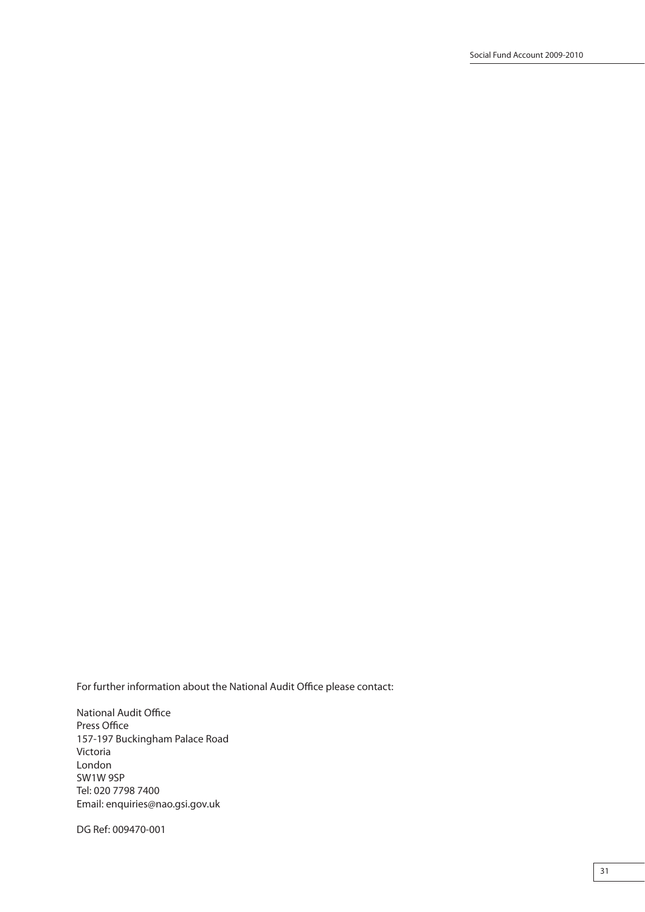For further information about the National Audit Office please contact:

National Audit Office Press Office 157-197 Buckingham Palace Road Victoria London SW1W 9SP Tel: 020 7798 7400 Email: enquiries@nao.gsi.gov.uk

DG Ref: 009470-001